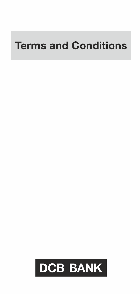# **Terms and Conditions**

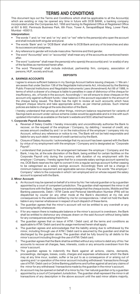## **TERMS AND CONDITIONS**

This document lays out the Terms and Conditions which shall be applicable to all the Account(s) which are existing or may be opened any time in future with DCB BANK, a banking company incorporated under the Companies Act, 1956 and having its Registered Office at Registered Office at 601 & 602, Peninsula Business Park, 6th Floor, Tower A, SenapatiBapat Marg, Lower Parel, Mumbai - 400013.

## **Interpretation:**

- The words 'I' and / or 'me' and / or 'my' and / or "we" refer to the person(s) who open the account and shall include both singular and plural.
- The words 'Bank' and / or 'DCB Bank' shall refer to DCB Bank and any of its branches and also its successors and assignees.
- Any reference to gender will include masculine / feminine and third gender.
- The word "Account(s)" and / or "account(s)" shall mean any of the accounts as mentioned herein after.
- The word "customer" shall mean the person(s) who open(s) the account(s) and / or avail(s) of any of the facilities as mentioned herein after.
- The word "Person(s)" shall include individual, partnership firm, company, association of persons, HUF, society and trust. **DEPOSITS**

## **A. SAVINGS ACCOUNTS**

I agree to ensure sufficient balance in my Savings Account before issuing cheques. I / We am / are aware that under Section 138 of the Negotiable Instruments Act, introduced by the Banking Public Financial Institutions and Negotiable Instruments Laws (Amendment) Act 66 of 1988, in terms of which a drawer of a cheque is liable to penalties in case of dishonour of the cheque for insufficiency, etc. of funds in the account. Accordingly I / we will ensure to draw cheques on the account only against sufficient funds / clear balance in the account equivalent to the amount of the cheque being issued. The Bank has the right to review all such accounts which have frequent cheque returns and take appropriate action, as per internal policies. Such internal policies are liable to change at the sole discretion of the Bank.

I hereby understand that among all other things, minimum balance requirement for variants of Savings bank account under various scheme codes would be applicable and is in line with such updated information as available on the bank's website and SOC attached herewith.

## **1. Corporate Payroll Accounts:**

- a. Reversal of Salary Credits: I hereby irrevocably and unconditionally authorise the Bank to recover, on the request of the employer / Company, by debiting / reversal of credit, any excess amount credited by and / or on the instructions of the employer / company into my Account, without any reference or notice to me. The Bank will not be held responsible and liable for any such debit / reversal of credit carried out by the Bank.
- b. Closure of Salary Accounts: I acknowledge that my account has been opened with the Bank by virtue of my employment with the employer / Company and is designated as "Corporate Payroll".
- c. I understand that pursuant to the arrangement between the employer / Company and the Bank, I may be, at the sole discretion of the Bank, being entitled for certain facilities on the Corporate Payroll only during the currency with duration of my employment with the employer / Company. I hereby agree that for a corporate salary savings account opened by me, DCB Bank reserves the right to convert it into a regular savings account further ceasing to be categorised as a salary savings account. Accordingly there will be a change in minimum balance requirement and applicable service charges. The words "the employer / Company" refers to the corporate in which I am employed and on whose request the salary account is opened with the Bank.

## **2. Minor Account:**

- a. An Account may be opened on behalf of a minor by his / her natural guardian or by a guardian appointed by a court of competent jurisdiction. The guardian shall represent the minor in all transactions with the Bank. I agree and acknowledge that the cheque books, Mobile and Net Banking passwords, Debit / ATM Cards and Personal Identification Number (PIN) will be dispatched by courier (or any other mode at the Bank's discretion) at my risk and consequences to the address notified by me for correspondence. I shall not hold the Bank liable in any manner whatsoever in respect of such dispatch of these items.
- b. The guardian agrees that the minor's account will not be entitled to any overdraft or any borrowing facility whatsoever.
- If for any reason there is inadequate balance or the minor's account is overdrawn, the Bank shall be entitled to dishonour any cheques drawn on the said Account without being liable for any consequences arising there from.
- d. The guardian agrees that on issue of ATM / Debit card, all the terms and conditions as applicable to ATM / Debit card and its usage mentioned herein shall apply.
- e. The guardian agrees and acknowledges that the liability arising due to withdrawal by the minor, including through use of ATM / Debit card is assumed by the guardian and shall be discharged by the guardian alone. The guardian shall be fully bound by all debits to the minor's account including through the use of ATM / Debit card.
- f. The guardian agrees that the Bank shall be entitled without any notice to debit any of his / her accounts to recover all charges, fees, interests, costs or any amounts overdrawn from the minor's account.
- h. The guardian agrees to indemnify the Bank against all actions, claims, demands, proceedings, damages, losses, costs, charges and expenses whatsoever which the Bank may at any time incur, sustain, suffer or be put to as a consequence of or arising out of opening and / or operation of the minor account including withdrawal / transactions through use of ATM / Debit card or Online Banking platforms and further against all and any claims of the minor for any withdrawal / transactions made by the guardian in the minor's account.
- An account may be opened on behalf of a minor by his / her natural guardian or by a guardian appointed by a court of Competent Jurisdiction. The guardian shall represent the minor in all transactions of any description in the above account until the said minor attains majority.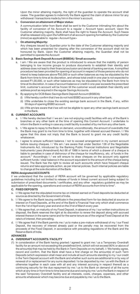Upon the minor attaining majority, the right of the guardian to operate the account shall cease. The guardian agrees to indemnify the Bank against the claim of above minor for any withdrawal / transactions made by him in the minor's account.

## k. Conversion on attainment of Major status:

A communication letter from Bank shall be sent to the Customer intimating him about the facility of conversion of his Account to a regular < Account type> account. Upon the Customer attaining majority, Bank shall have the right to freeze the Account. Such freeze shall be released only upon the fulfillment of all account opening formalities by the Customer (minor) as applicable to regular< Account type>

#### l. On attaining Majority:

Any cheques issued by Guardian prior to the date of the Customer attaining majority and which has been presented for clearing after the conversion of the account shall not be honoured by Bank. Upon the Customer attaining majority, the Guardian shall not be permitted to operate the Account

## **3.** Basic Savings Bank Deposit Account (BSBDA) / Small accounts:

- a. I am / We are aware that the product is introduced to ensure that the inability of person belonging to low income groups to produce documents to establish their identity and address does not lead to their financial exclusion and denial of banking services. A simplified procedure has been provided for opening of account in respect of those persons who do not intend to keep balances above  $\overline{650,000}$  or such other balances as may be stipulated by the Bank from time to time at its discretion, and whose total credit in one year is not expected to exceed  $*1,00,000$ , or such other balances as may be stipulated by the Bank from time to time at its discretion. In case of account balance or credit in one year exceeds the prescribed limit, customer's account will be frozen till the customer would establish their identity and address proof as required in the regular Savings Accounts.
- b. By applying for DCB Basic Savings Bank Deposit Account (BSBDA):
	- (I) I/We hereby confirm that I/we do not hold BSBD account in any other bank.
	- (ii) I/We undertake to close the existing savings bank account in the Bank, if any, within 30 days of opening BSBD account.
	- (iii) I/We am/are aware that I/we will not be eligible to open any other savings bank account in the Bank.

## **B. CURRENT ACCOUNTS**

- a. I / We hereby declare that I / we am / are not enjoying credit facilities with any of the Bank's branches or any other bank at the time of opening this Current Account. I undertake to inform the Bank in writing in case any credit facility is availed of by me from any other bank.
- b. I / We agree to repay to the Bank on demand, unconditionally, the amount of overdrafts that the Bank may grant to me from time to time, together with interest accrued thereon. I / We agree that this does not imply that the Bank is bound to grant me any credit facility whatsoever.
- c. I agree to ensure sufficient balance / not to exceed arrangement in my current account before issuing cheques. I / We am / are aware that under Section 138 of the Negotiable Instruments Act, introduced by the Banking Public Financial Institutions and Negotiable Instruments Laws (Amendment) Act 66 of 1988 in terms of which a drawer of a cheque is liable to penalties in case of dishonour of the cheque for insufficiency, etc. of funds in the account." Accordingly I / we will ensure to draw cheques on the account only against sufficient funds / clear balance in the account equivalent to the amount of the cheque being issued. The Bank has the right to review all such accounts which have frequent cheque returns and take appropriate action, as per internal policies. Such internal policies are liable to change at the sole discretion of the Bank.

## **RERA designated ACCOUNTS**

I/ we understand that the conduct of RERA account will be governed by applicable regulatory guidelines including but not limited to release of funds in linked current account being subject to submission of prescribed documents / certificates, and any other regulatory guideline as may be applicable for the opening, operations and conduct of RERA accounts from time to time.

## **C. FIXED DEPOSITS**

- a. I / We agree that the stipulated income tax on interest earned on Fixed deposits be deducted at source as directed by the Government of India.
- b. I / We agree to the Bank issuing certificate in the prescribed form for tax deducted at source on interest on Fixed Deposits, at the end of the Bank's Financial Year only which shall commence from the 1st of April every year and end on the 31st of March every year.
- c. I / We agree that, on maturity of my Fixed Deposit, in absence of my / our written instructions on disposal, the Bank reserves the right at its discretion to renew the deposit along with accrued interest thereon in the same name and for the same tenure as of the original Fixed Deposit at the rate/s of interest, then prevailing.
- d. I / We agree that if the Bank permits me / us to make a pre-mature withdrawal of my / our Fixed Deposit, the recovery of interest already paid or the penalty may be recovered from the proceeds of the Fixed Deposit, in accordance with prevailing regulations of the Bank and the Reserve Bank of India.

## **ADVANCES**

## **A. OVERDRAFT ACCOUNTS / FACILITY**

(1) In consideration of the Bank having granted / agreed to grant me / us a Temporary Overdraft facility for an amount not exceeding the predefined limit, (which will not exceed 90% or above of the amount(s) that may be held by the Bank in Term Deposits on my behalf). I / We hereby agree, record and confirm, that the Bank shall have a first charge on the amount(s) of such Term Deposits (which expression shall mean and include all such amounts standing to my / our credit in the Term Deposit account with the Bank and whether such sums are additional to or by way of renewal of or replacement for any sums deposited / to be deposited by me / us with the Bank or otherwise together in each case with all and any interest accruing in respect thereof) as a continuing security for the due repayment by me / us to the Bank on demand of all the sums which at any time or from time to time become due and owing by me / us to the Bank in respect of the said Temporary Overdraft facility and all interests, costs, charges, expenses, and other amounts whatsoever which may become due and payable by me / us to the Bank.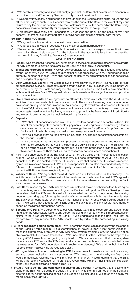- (2) I / We hereby irrevocably and unconditionally agree that the Bank shall be entitled to discontinue or terminate the said Temporary Overdraft facility at any time without notice to me.
- (3) I / We hereby irrevocably and unconditionally authorise the Bank to appropriate, adjust and set off the amount(s) of such Term Deposits towards the dues of the Bank in the event of my / our failure to pay the amount demanded by the Bank from me / us, the demand of the Bank being conclusive as to my / our liability for repayment thereof and for the said purpose.
- (4) I / We hereby irrevocably and unconditionally authorise the Bank, on the basis of my / our consent, to terminate all or any part of the Term Deposits prior to the maturity date thereof.

## **SWEEP IN INSTRUCTIONS**

- (1) I / We agree that all sweep-in accounts will have the same title.
- (2) I / We agree that all sweep-in deposits will be for a predetermined period only.
- (3) I / We authorise the Bank to break units of deposits formed due to sweep out instruction in case there is insufficient balance and / or the balance in the account is less than the specified threshold limit in my / our linked Savings / Current Account.

## **ATM USABLE CARDS**

- (1) **Fees:** I / We agree that all fees / taxes / surcharges / service charges and all other levies related to the ATM usable card may be recovered by the Bank by debit to my / our account.
- (2) **Transactions Responsibility:** I / We will be responsible for all types of transactions processed by the use of my / our ATM usable card, whether or not processed with my / our knowledge or authority, express or implied. I / We shall accept the Bank's record of transactions as conclusive and binding for all purposes.
- (3) **Cash Withdrawal Limits:** I / We will be allowed to withdraw through the ATM, only a pre-defined amount of cash everyday, irrespective of the credit balance in my / our account. This amount will be determined by the Bank and may be changed at any time at the Bank's sole discretion without notice to me / us. I / We agree that cash withdrawals will be subject to tax as applicable from time to time.
- (4) **Overdrawn Accounts:** I / We agree not to attempt to overdraw cash from the ATM unless sufficient funds are available in my / our account. The onus of ensuring adequate account balances is entirely on me / us. In case my / our account gets overdrawn due to cash withdrawal from the ATM, I / We agree to rectify the account balance position immediately. In case my / our account gets overdrawn, the Bank may levy any charge, which the Bank deems fit in addition to any interest to be charged on the debit balance in my / our account.

## (5) **Deposits:**

- a. I / We shall not deposit any cash in a Cheque Drop Box nor deposit any cash in a Drop Box meant for collecting other documents / payments. I / We agree and acknowledge that in case I / we deposit any cheque / cash in the wrong Cheque Drop Box or Drop Box then the Bank shall not be liable or responsible for the consequences of the same.
- b. I / We acknowledge that no receipt will be issued for any cheque deposited for collection in the Cheque Drop Box.
- c. I / We understand that the Bank will process the cheque deposited, on the basis of the information provided by me / us in the pay-in-slip duly filled in by me / us. The Bank will not be held responsible for any wrong credits due to incorrect information provided by me / us in this regard. I / We shall hold the Bank harmless for any consequences arising thereof.
- (6) **PIN:** I / We understand that the Bank will allot to me / us a unique PIN (Personal Identification Number) which will allow me / us to access my / our account through the ATM. The Bank will despatch the PIN in a sealed envelope. On receipt, I / we shall ensure that the same is received by me / us in a sealed envelope. I / We shall be responsible to maintain the confidentiality of the PIN and not to reveal the PIN to any third party. I / We shall commit the PIN to memory and not record the PIN in a written or electronic format.
- (7) **Validity of Card:** I / We agree that the ATM usable card at all times is the Bank's property. The validity period of the ATM usable card will be mentioned on the face of the card. I / We agree to surrender the card to the Bank in case of account closure or whenever demanded by the Bank for any reason whatsoever.
- (8) **Lost Card:** In case my / our ATM usable card is misplaced, stolen or otherwise lost, I / we agree to immediately report the event in writing to the Bank or call up at the Phone Banking. I / We understand that the ATM usable card will be cancelled by the Bank only during the working hours on a working day following the receipt of such intimation or 24 hours whichever is later. The Bank shall not be liable for any loss by the misuse of the ATM usable Card during such time that I / we would have lodged complaint with the Bank and the Bank would have actually cancelled the same as prescribed herein.
- (9) **Security of Card:** I / We agree to keep our ATM usable Card in safe custody and agree not to hand over the ATM usable Card to any person including any person who is a representative or claims to be a representative of the Bank. I / We understand that the Bank shall not be responsible for any misuse of the ATM usable Card by virtue of the same falling into wrong hands.
- (10) **Transaction not getting completed:** I / We understand that due to reasons beyond the control of the Bank or force majure like discontinuance of power supply / lost communication / mechanical problems / problems in ATM Machine / system problems, etc. the ATM will not be able to complete the desired transaction. I/We understand that the Bank will not be responsible for any ATM transaction not getting completed. I / We also understand that due to system maintenance / ATM errors, the ATM may not dispense the complete amount of cash that I / We have requested for. I / We understand that in such circumstances, I / We shall not hold the Bank responsible for not receiving the requested cash.
- (11) **Wrong entries to Account pertaining to ATM transactions:** In case I / we find out that a wrong entry has been debited to my / our account for ATM transactions not done by me / us, I / we would immediately raise the issue with my / our home branch. I / We understand that the Bank will do a thorough investigation of the same and revert to me with their final findings and decision of the Bank shall be final and binding on me / us.
- (12) **Audit Trail to be final and conclusive in case of any dispute:** I / We agree that in case of any dispute the Bank will be using the audit trail of the ATM (either in a printed or in non-editable electronic form) as the final and conclusive evidence in all disputes. I / We agree to abide by the recordings of the audit trail.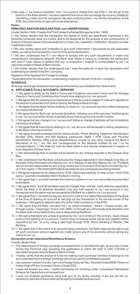(13) In case, I / we receive mutilated / torn / cut currency note(s) from the ATM. I / we will go to the branch of the Bank where I / we have opened the account and exchange the currency note(s) by submitting a letter and the transaction slip and confirming that I / we did the transaction at the ATM. Any other forms of claim will not be entertained.

**Form I**

## **FEMA DECLARATION (DECLARATION-cum-UNDERTAKING)**

[Under Section 10(5), Chapter III of The Foreign Exchange Management Act, 1999]

I / We hereby declare that the transaction the details of which are specifically mentioned in the Schedule hereunder does not involve, and is not designed for the purpose of any contravention or evasion of the provisions of the aforesaid Act or of any rule, regulation, notification, direction or order made there under.

I / We also hereby agree and undertake to give such information / documents as will reasonably satisfy you about this transaction in terms of the above declaration.

I / We also understand that if I / we refuse to comply with any such requirement or make only unsatisfactory compliance herewith, the Bank shall refuse in writing to undertake the transaction and shall if it has reason to believe that any contravention / evasion is contemplated by me / us report the matter to Reserve Bank of India.

I / We further declare that the undersigned has / have the authority to give this declaration and undertaking on behalf of the firm / company.

Signature of the Applicant for Foreign Exchange

\* Applicable when the declaration / undertaking is signed on behalf of the firm / company.

## **SCHEDULE**

All foreign exchange transactions as may be entrusted by us to the Bank from time to time.

## **A. APPLICABLE TO ALL ACCOUNTS / SERVICES**

- 1. I / We agree to abide by the Bank's Terms and Conditions and rules in force and the changes there to in Terms and Conditions from time to time relating to my / our account.
- 2. I / We agree that the opening and maintenance of the account is subject to rules and regulations introduced or amended from time to time by the Reserve Bank of India.
- 3. I / We agree that the Bank will be at liberty to close my / our account any time without assigning any reason whatsoever.
- 4. I / We agree that the Bank can, at its sole discretion, withdraw any of the services / facilities given in my / our account either wholly or partially at any time by giving one month's notice.
- 5. I / We agree that any change in my / our account status or change of address will be immediately informed to the Bank.
- 6. I / We agree that all instructions relating to my / our account will be issued in writing satisfactory to the Bank in form and content.
- 7. I / We agree and acknowledge that the cheque books, Phone Banking Telephone Identification Number (TIN), Mobile and Net Banking passwords, Debit / ATM Cards and Personal Identification Number (PIN) will be despatched by courier (or any other mode at the Bank's discretion) at my / our risk and consequences to the address notified by me / us for correspondence. I / We shall not hold the Bank liable in any manner whatsoever in respect of such despatch of these items.
- 8. I / We acknowledge that no receipt will be issued for any cheque deposits in the Cheque Drop Box.
- 9. I / We understand that the Bank will process the cheque deposited in the Cheque Drop Box on the basis of the information provided by me / us in the pay-in-slip duly filled by me / us. The Bank will not be held responsible for any wrong credits due to incorrect information provided by me / us in this regard. I / We shall hold the Bank harmless for any consequences arising thereof.
- 10. I / We agree to preserve my cheque book / ATM / Debit card carefully. In case of loss / theft of the same I / we shall immediately inform the Bank in writing.
- 11. I / We agree that I / we shall maintain the minimum balance in my / our account(s) as prescribed by the Bank.
- 12. I / We agree that I / we shall be liable to pay all charges, fees, interest, costs wherever applicable, which the Bank in its absolute discretion may levy with respect to my / our account or any transaction and the same may be recovered by the Bank by a debit to my / our account.
- 13. I / We agree that I / we shall not pay any amount in cash to any Sales Representative of the Bank at the time of opening an account or carrying out any transaction in the normal course of the business. I / We agree to deposit cash only at the Teller counters or in the ATM.
- 14. I / We agree that the Bank will send me / us communications / letters / cheque books, etc. through courier / messenger / mail e-mail / SMS / or through any other mode at its discretion and the Bank shall not be liable for any loss or delay arising therefrom.
- 15. I / We agree that Bank will, unless requested by me / us in writing to the contrary, issue cheque book on the opening of my account. Further issue of cheque books will be only against written requisition by me / us or by using a valid login through ATM, Phone Banking or Mobile / Net Banking.
- 16. I / We agree that in the event of an account being overdrawn, the Bank reserves the right to set off such overdrawn amount against any credit lying in any of my accounts without giving any notice to me / us.

## **Declaration under Liberalised Remittance Scheme:**

I hereby declare that:

- 1. The total amount of foreign exchange purchased from or remitted through, all sources in India, during this Financial year including this application is within the limit of USD 2,50,000 or equivalent as prescribed by Reserve Bank of India.
- 2. I hereby certify that the source of funds for making such purchase/ remittance belongs to me and undertake that the foreign exchange will not be used for prohibited purposes.
- 3. I am a person resident in India. I am not a Foreign National/ Non- Resident Indian(NRI)/ Person of Indian Origin (PIO) or Overseas Citizen of India (OCI)
- 4. I have not availed any loan / credit/ borrowings for remitting under l Liberalised Remittance Scheme for Capital Account transactions
- 5. I have not clubbed remittance value with any of my family member, if we are not the coowners/co-partners of the investment/property/overseas bank account.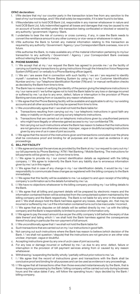## **OFAC declaration:**

- I. I/We declare that my/ our counter party in the transaction is/are free from any sanction to the best of my/ our knowledge, and I/ We shall solely be responsible, if it is later found to be false.
- II. I/Weundertake not to hold DCB Bank Ltd, responsible in any manner whatsoever in nature and hold DCB Bank Ltd, fully indemnified against all losses and damages that may be caused to me on account of funds remitted under this transaction being confiscated or blocked or seized by any authority / government / Agency / Bank.
- III. I undertake to bear the risk of currency or cross currency, if any, in case the Bank needs to convert the remittance amount to any other currency or vice-versa or whatsoever in nature.
- IV. I/We authorise the Bank to furnish any material information relating to this transaction as required by any authority / Government / Agency / your Correspondent Bank overseas, now or in future.

I/We authorise the Bank, to make available any of the material information pertaining to my/our transaction to any authority / Government / Agency / your Correspondent Bank overseas without referring the matter to me/us.

## **B. PHONE BANKING**

- 1. I / We accept that at my / our request the Bank has agreed to provide me / us the facility of carrying out banking transactions by giving instructions through the Interactive Voice Response System (IVRS) and / or verbally to a Phone Banking officer (agent).
- 2. I / We am / are aware that in connection with such facility I / we am / are required to identify myself / ourselves to the Phone Banking System by using my / our Customer Identification Number and my / our Telephone Identification Number (TIN) and / or manual verification checks as decided by the Bank from time to time.
- 3. The Bank has no means of verifying the identity of the person giving the telephone instructions in my / our name and I / we further agree not to hold the Bank liable for any loss or damage incurred or suffered by me / us due to any error, defect, failure or interruption in the provision of Phone Banking services arising from or caused by any reason whatsoever.
- 5. I / We agree that the Phone Banking facility will be available and applicable to all my / our existing accounts and all other accounts that may be opened from time to time.
- 6. I / We unconditionally agree that I / we shall not hold the Bank liable for:
	- a. Transactions resulting from carrying out my / our telephonic instructions in good faith any delay or inability on its part in carrying out any telephonic instructions.
	- b. Transactions that are carried out on telephonic instructions given by unauthorised persons who might have illegally or otherwise gained access to my / our confidential TIN.
	- c. Not carrying out such instructions where the Bank has reason to believe that the instructions are not genuine or are otherwise unclear, improper, vague or doubtful accepting instructions given by any one of us in case of joint accounts.
- 8. I / We agree that the record of the instructions given and transactions concluded over the phone shall be conclusive proof and binding for all purposes and can be used as evidence in any proceedings.

## **C. BILL PAY FACILITY**

- 1. I / We agree and accept the services as provided by the Bank at my / our request to carry out my / our bill payments by Phone Banking / ATM / Net Banking / Mobile Banking. The instructions for bill payments will be given by me / us from time to time.
- 2. I / We agree to provide my / our correct identification details as registered with the billing company. I / We agree to indemnify the Bank from any liability due to erroneous information given by me / us in this regard.
- 3. I / We agree that in case of any change in my / our identification details, it would be my / our responsibility to communicate these changes as registered with the billing company to the Bank immediately.
- 4. I / We agree that this facility will be available to me / us subject to and upon receipt of the billing company's confirmation as to the details furnished by me / us.
- 5. I / We have no objections whatsoever to the billing company providing my / our billing details to the Bank.
- 6. I / We agree that all billing and payment details will be prepared by electronic means and the information contained therein will be extracted from the computerised system maintained by the billing company and the Bank respectively. The Bank is not liable for any error in the statement and I / We shall always hold the Bank harmless against any losses, damages, etc. that may be incurred or suffered by me / us if the information contained turns out to be inaccurate / incorrect.
- 7. I / We agree that any disputes on bill details will be settled directly by me / us with the billing company and the Bank's responsibility is limited to provision of information only.
- 8. I / We agree to pay the exact amount due as per the utility company's bill before the expiry of due date thereof and failing which I / we shall hold the Bank harmless against the consequences thereof including in particular the non-payment of bill amount.
- 9. I/We unconditionally agree that I/we shall not hold the Bank liable for:
- a. Such transactions that are carried out on my / our instructions in good faith.
- b. Not carrying out such instructions where the Bank has reason to believe (which decision of the Bank. I / we shall not question / dispute) that the instructions are not genuine or are other wise unclear, improper, vague or doubtful.
- c. Accepting instructions given by any one of us (in case of joint accounts).
- d. For any loss or damage incurred or suffered by me / us due to any error, defect, failure or interruption in the provision of bill payment services arising from or caused by any reason whatsoever
- e. Withdrawing / suspending the facility wholly / partially without prior notice to me / us.
- f. I / We agree that the record of instructions given and transactions with the Bank shall be conclusive proof and binding for all purposes and can be used as evidence in any proceedings.
- 10. I / We agree that all transactions other than those executed instantaneously by the Bank, that is those requiring processing by the Bank / billing company will be carried out only during business hours and the value dates if any, will follow the operating hours / days decided by the Bank / billing company.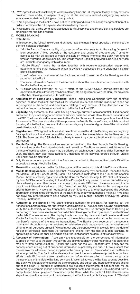- 11. I / We agree the Bank is at liberty to withdraw at any time, the Bill Payment facility, or any services provided there under, in respect of any or all the accounts without assigning any reason whatsoever and without giving me / us any notice.
- 12. I / We agree to give the Bank 15 days notice in writing and obtain an acknowledgment thereof in order to terminate the Bill Payments facility availed by me / us.
- 13. I / We agree that all the conditions applicable to ATM services and Phone Banking services are binding on me / us in this regard.

#### **D. MOBILE BANKING**

#### 1. **Definitions:**

In this section, the following words and phrases have the meaning set opposite them unless the context indicates otherwise:

- a. "Mobile Banking" means facility of access to information relating to the saving / current / loan account(s) / fixed deposit of the customer and usage of products and / or other services as may be advised or made available on Mobile Phone by the Bank from time to time on / through Mobile Banking. The words Mobile Banking and Mobile Banking services are used interchangeably in this document.
- "Mobile Phone" means the handset together with requisite accessories, equipment, attachments and other software which is owned / possessed by the customer / cellular service subscriber.
- c. "User" refers to a customer of the Bank authorised to use the Mobile Banking service provided by the Bank.
- d. "Personal Information" refers to the information about the user obtained in connection with the Mobile Banking service.
- "Cellular Service Provider" or "CSP" refers to the GSM / CDMA service provider (for operation of Mobile Phones) who has entered into an agreement with the Bank for provision of Mobile Banking services to its customers.
- 2. **Applicability of Terms and Conditions:** These Terms and Conditions form the contract between the User, the Bank, and the Cellular Service Provider and shall be in addition to and not in derogation of the terms and conditions relating to any account of the User and / or the respective product or the service provided by the Bank or the CSP.
- 3. **Eligibility:** Any customer of the Bank, having a saving / current / loan account(s) / fixed deposit authorised to operate singly or on either or survivor basis and who is also a Current Subscriber of the CSP. The User should have access to the Mobile Phone and knowledge of how the Mobile Phone works. The User should at all times possess the Mobile Phone software, which is required for using Mobile Banking. In case of Minor accounts, only the natural guardian of the minor shall be eligible to avail of this service.
- 4. **Registration:** I / We agree that I / we shall be entitled to use the Mobile Banking service only if my / our application is found in order and the relevant particulars are registered by the Bank and the CSP. The Bank and the CSP shall be at liberty to reject my / our application without assigning any reason.
- 5. **Mobile Banking:** The Bank shall endeavour to provide to the User through Mobile Banking, such services as the Bank may decide from time to time. The Bank reserves the right to decide the type of services which a user may be offered on each account and may differ from user to user. The Bank may also make additions / deletions to the services offered through Mobile Banking at its sole discretion.
- 6. Only those accounts opened with the Bank and attached to the respective User's ID will be accessible through Mobile Banking.
- 7. There will be no obligation on the Bank to support all the versions of this Mobile Phone software.
- 8. Mobile Banking Access: I / We agree that I / we shall use only my / our Mobile Phone to access the Mobile Banking Service of the Bank. The access is restricted to me / us on the specific Mobile Phone number(s) registered with the Bank for Mobile Banking. I / We shall not disclose my / our MPIN number/s relating to the Mobile Phone(s), to any person or write / record it at any place whereby some other person can come to know my MPIN No. I / We understand that in case I / we fail to follow / adhere to this, I / we shall be solely responsible for the consequences arising there from. I / We shall not attempt or permit others to attempt accessing the account information stored in the computers of the Bank through any unauthorised means. I / We shall not allow any other person to have access to my / our Mobile Phone(s) or leave the Mobile Phone(s) unattended.
- 9. **Authority to the Bank:** I / We grant express authority to the Bank for carrying out the transactions performed by me / us through Mobile Banking. The Bank shall have no obligation to verify the authenticity of any transaction received from me / us through Mobile Banking or purporting to have been sent by me / us via Mobile Banking other than by means of verification of the Mobile Phone number(s). The display that is produced by me / us at the time of operation of Mobile Banking is a record of the operation of the mobile access and shall not be construed as the Bank's records of the relative transactions. The Bank's own records of transactions maintained through computer systems or otherwise shall be accepted as conclusive and binding for all purposes unless I / we point out any discrepancy within a week from the date of receipt of periodical statement. All transactions arising from the use of Mobile Banking, to operate a joint account, shall be binding on all the joint account holders, jointly and severally.
- 10. **Accuracy of Information:** I / We am / are responsible for the correctness of information supplied by me / us to the Bank through the use of or through any other means such as electronic mail or written communication. Neither the Bank nor the CSP accepts any liability for the consequences arising out of erroneous information supplied by me / us. If I / we suspect that there is an error in the information supplied to the Bank by me / us, I / we shall advise the Bank as soon as possible. The Bank will endeavour to correct the error wherever possible on a 'best efforts' basis. If I / we notice an error in the account information supplied to me / us through or by the use of any of the Mobile Banking services, I / we shall advise the Bank as soon as possible. The Bank will endeavour to correct the error promptly and adjust any interest or charges arising out of the error. All outputs of statements are duplicate statements of account and will be prepared by electronic means and the information contained therein will be extracted from a computerised back up system maintained by the Bank. While the Bank will take all reasonable steps to ensure the accuracy of the statement, the Bank is not liable for any error. I / We shall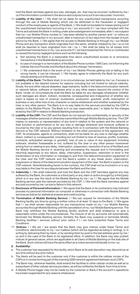hold the Bank harmless against any loss, damages, etc. that may be incurred / suffered by me / us if the information contained in the above said outputs turns out to be inaccurate / incorrect.

- 11. **Liability of the User:** I / We shall not be liable for any unauthorised transactions occurring through the use of Mobile Banking which can be attributed to the fraudulent or negligent conduct of the employees or agents of the Bank. I / We shall not be liable for losses arising out of the unauthorised transactions occurring in my / our accounts if I / we have complied with the Terms and advised the Bank in writing under acknowledgement immediately after I / we suspect that my / our Mobile Phone number is / has been allotted to another person and / or notice an unauthorised transaction in my account, after a maximum of two days from the receipt of such advice by the Bank. I / We agree that the access to Mobile Banking is through my / our Mobile Phone and any transaction which originates from the same, whether initiated by me / us or not shall be deemed to have originated from me / us. I / We shall be liable for all losses from unauthorised transactions in my / our accounts if I / we have breached the Terms or contributed or caused the loss by negligent actions such as the following:
	- a. Not advising the Bank in a reasonable time about unauthorised access to or erroneous transactions in the Mobile Banking accounts.
	- b. In case of change in or termination of the Mobile Phone number / SIM Card, not informing the Cellular Service Provider and the Bank about the change / termination.
	- c. I / We understand that in the event of my / our Mobile Phones getting lost or falling in the wrong hands, it can be misused. I / We hereby agree to indemnify the Bank for any such misuse arising out of the same.
- 12. **Liability of the Bank:** The Bank shall, in no circumstances, be held liable by me / us, if access is not available in the desired manner for reasons including but not limited to natural calamity, floods, fire and other natural disasters, legal restraints, faults in the telecommunication network or network failure, software or hardware error or any other reason beyond the control of the Bank. Under no circumstances shall the Bank be liable for any damages whatsoever whether such damages are direct, indirect, incidental, consequential and irrespective of whether any claim is based on loss of revenue, investment, production, goodwill, profit, interruption of business or any other loss of any character or nature whatsoever and whether sustained by the User or any other person. The Bank is in no way liable for the services provided by the CSP in relation to the Mobile Phone. The Bank is in no way responsible and / or liable for the charges levied by the CSP in relation to Mobile Banking transaction.
- 13. **Liability of the CSP:** The CSP and the Bank do not warrant the confidentiality or security of the messages whether personal or otherwise transmitted through Mobile Banking service. The CSP makes no warranty or representation of any kind in relation to the system and the network or their function or performance or for any loss or damage whenever and however suffered or incurred by the User or by any person resulting from or in connection with the Mobile Banking Service or the CSP network. Without limitation to the other provisions of this agreement, the CSP, its employees, agents or contractors, shall not be liable for any loss or damage whether direct, indirect or consequential, including but not limited to loss of revenue, profits, business, contracts, anticipated savings or goodwill, loss of use or value of any equipment including software, whether foreseeable or not, suffered by the User or any other person howsoever arising from or relating to any delay, interruption, suspension, resolution of error of the Bank and the Mobile Banking service in receiving and processing the request and in formulating and returning responses or any failure, delay, interruption, suspension, restriction or error in the transmission of any information or message to and from the telecommunication equipment of the User and the CSP network and the Bank's system or any break down, interruption, suspension or failure of the telecommunication equipment of the User, the Bank's system or the CSP network. Notwithstanding herein to the contrary, the CSP shall not be involved in or in any way liable to the User for any dispute between the Bank and the User.
- 14. **Indemnity:** I / We shall indemnify and hold the Bank and the CSP harmless against any loss suffered by the Bank, its customers or a third party or any claim or action brought by a third party which is in any way the result of the Mobile Banking by me / us. I / We agree that the Mobile Banking service uses the network provided by the CSP. I / We hold the Bank harmless against any loss incurred by me / us due to failure in this network.
- 15. **Disclosure of Personal Information:** I / We agree that the Bank or its contractors may hold and process my personal information on computer or otherwise in connection with Mobile Banking services as well as for statistical analysis and credit scoring.
- 16. **Termination of Mobile Banking Service:** I / We can request for termination of the Mobile Banking facility any time by giving a written notice of at least 15 days to the Bank. I / We agree that I / we shall remain responsible for any transactions made on my / our Mobile Banking account(s) through Mobile Banking until the cancellation of my / our Mobile Banking service. The Bank may withdraw the Mobile Banking facility anytime and shall endeavour to give a reasonable notice under the circumstances. The closure of all my accounts will automatically terminate the Mobile Banking service. Similarly the Bank may suspend or terminate Mobile Banking facilities / services without prior notice if I / we have breached these Terms and Conditions.
- 17. **Notices:** I / We am / are aware that the Bank may give notices under these Terms and Conditions, electronically to my / our mailbox (which will be regarded as being in writing), or in writing by delivering them by hand, or by sending them by post to the last address given by me / us and in the case of the Bank to its registered office. In addition, the Bank may also publish notices of general nature, which are applicable to all Users of Mobile Banking on the web site of the Bank. Such notices will have the same effect as a notice served individually to me / us.

#### **2. Availability:**

- a. The customer has requested for this facility which Bank at its sole discretion may discontinue at any time without any prior notice.
- b. The Alerts will be sent to the customer only if the customer is within the cellular circles of the CSPs or in circles forming part of the roaming GSM network agreement between such CSPs.
- c. The Bank may, wherever feasible, shall extend the facilities to other cellular circles as well as to subscribers of other cellular service providers, as will be notified by the Bank, from time to time.
- d. A Mobile Phone trigger may not be made by the customer or Bank if the account's operations have been suspended for any reasons whatsoever.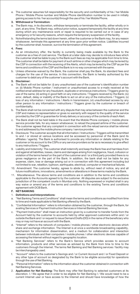e. The customer assumes full responsibility for the security and confidentiality of his / her Mobile Phone / Mobile Phone number and Mobile Phone identification number to be used in initially gaining access to his / her account(s) through the use of his / her Mobile Phone.

#### **3. Withdrawal or Termination:**

- a. The Bank may, in its discretion, withdraw temporarily or terminate the facility, either wholly or in part, at any time. The Bank may, without prior notice, suspend temporarily the facility at any time during which any maintenance work or repair is required to be carried out or in case of any emergency or for security reasons, which require the temporary suspension of the facility.
- b. Notwithstanding the terms laid down herein, either the customer or the Bank may, for any reason whatsoever, terminate this agreement at any time upon prior written notice. Liabilities incurred by the customer shall, however, survive the termination of this agreement.
- **4. Fees:**
- a. As an introductory offer, the facility is currently being made available by the Bank to the customer as a free of cost service. The Bank at a later date may decide to introduce fees which the customer shall be liable to pay to the Bank such fees as may be applicable from time to time. The customer shall be liable for payment of such airtime or other charges which may be levied by the CSP in connection with the receiving of the Alerts, which may be levied by the CSP as per the terms and conditions of the CSP and the Bank is in no way concerned with the same.
- b. Unless otherwise waived by the Bank, the customer shall pay the Bank, its standard fees and charges for the use of the service. In this connection, the Bank is hereby authorised by the customer to debit any of the customer's account with the Bank.

## **5. Disclaimer:**

- a. The Bank will not be liable for: (i) any unauthorised use of the customer's identification number or; (ii) Mobile Phone number / instrument or unauthorised access to e-mails received at his notified email address for any fraudulent, duplicate or erroneous instructions / Triggers given by use of the same; (iii) acting in good faith on any instructions / Triggers received by the Bank; (iv) error, default, delay or inability of the Bank to act on all or any of the instructions / Triggers; (v) loss of any information / instructions / Alerts in transmission; (vi) unauthorised access by any other person to any information / instructions / Triggers given by the customer or breach of confidentiality.
- b. The Bank shall not be concerned with any dispute that may arise between the customer and the CSP and makes no representation or gives no warranty with respect to the quality of the service provided by the CSP or guarantee for timely delivery or accuracy of the contents of each Alert.
- c. The Bank shall not be held liable in the event that the Mobile Phone company / mobile phone service provider fails, for any reason whatsoever, to reload the prepaid airtime of the customer. The customer agrees that any complaint in connection with the reload service shall be referred to and addressed by the mobile phone company / service provider.
- 8. Disclosure: The customer accepts that all information / Instructions / Triggers will be transmitted to and / or stored at various locations and be accessed by personnel of the Bank (and its affiliates / agents). The Bank is authorised to provide any information or details relating to the customer or his account to the CSPs or any service providers so far as is necessary to give effect to any instructions / Triggers.
- 9. Liability and Indemnity: The customer shall indemnify and keep the Bank free and harmless from and against all liabilities, losses, claims and damages arising from negligence, fraud, collusion or violation of the terms hereof on the part of the customer and / or a third party provided there is no gross negligence on the part of the Bank. In addition, the bank shall not be liable for any expense, claim, loss or damage arising out or in connection with this agreement including but not limited to war, rebellion, typhoon, earthquake, electrical, computer or mechanical failures.
- 10. Amendment: The customer hereby, agrees to abide by, without need of notice, any and all future modifications, innovations, amendments or alterations in these terms made by the Bank.
- 11. Miscellaneous: The above terms and conditions are in addition to the terms and conditions applicable to the Accounts agreed to by the customer. All disputes are subject to the exclusive jurisdiction of the competent courts in Mumbai only. Nothing expressed or implied shall in any way waive or amend any of the terms and conditions to the existing Terms and conditions agreement with DCB Bank.

## **F. NET BANKING**

## 1. **Definitions and Interpretations:**

- a. "Net Banking Terms and Conditions" shall mean the terms and conditions as modified from time to time and made applicable to Net Banking offered by the Bank.
- b. "Confidential Information" refers to information obtained by the customer, through the Bank, for availing Services or Payment Instruction Services or Internet Banking Services.
- c. "Payment Instruction" shall mean an instruction given by a customer to transfer funds from the Account held by the customer to accounts held by other approved customers within and / or outside the Bank and / or request to issue Demand Drafts (DD) in the name of the beneficiary who may or may not have an account with the Bank.
- d. "Internet" refers to the network of computers / mobile phones / other electronic devices which share and exchange information. The Internet is at once a worldwide broadcasting capability, mechanism for information dissemination, and a medium for collaboration and interaction between individuals and their computers / mobile phones / other electronic devices capable of accessing the Internet without regard to geographic location.
- e. "Net Banking Services" refers to the Bank's Service which provides access to account information, products and other services as advised by the Bank from time to time to the customers through the Internet. The terms Net Banking and Net Banking services / facility may be interchangeably used.
- f. "Account" refers to the customer's Savings and / or Current Account and / or Fixed Deposit or any other type of account so designated by the Bank to be eligible account(s) for operations through the use of Net Banking.
- $g^{\text{e}}$  ersonal Information" refers to the information about the customer obtained in connection with Net Banking Services.
- 2. **Application for Net Banking:** The Bank may offer Net Banking to selected customers at its discretion. I / We agree that in order to be eligible for Net Banking I / We would need to be a current Internet user or have access to the Internet and should have knowledge of how the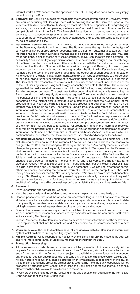Internet works. I / We accept that the application for Net Banking does not automatically imply acceptance by the Bank.

- 3. **Software:** The Bank will advise from time to time the Internet software such as Browsers, which are required for using Net Banking. There will be no obligation on the Bank to support all the versions of this Internet software. I / We agree that I / We shall be responsible for upgrading my software, hardware and the operating system at my/our cost from time to time so as to be compatible with that of the Bank. The Bank shall be at liberty to change, vary or upgrade its software, hardware, operating systems, etc., from time to time and shall be under no obligation to support the software, hardware, operating systems used by me / us and that the same shall be my / our sole responsibility.
- 4. **Net Banking Service:** The Bank shall endeavour to provide through Net Banking, such services as the Bank may decide from time to time. The Bank reserves the right to decide the type of services that may be offered on each account and may differ from customer to customer. These facilities shall be offered in a phased manner and at discretion of the Bank. The Bank may also make additions / deletions to the services offered through Net Banking at its sole discretion. The availability / non-availability of a particular service shall be advised through e-mail or web page of the Bank or written communication. All accounts opened with the Bank attached to the same Customer Identification Number will be accessible through Net Banking. In case of joint accounts and accounts with two or more signatories, the Bank will offer such services, as restricted by the terms and conditions governing the operation of such accounts. In case of Minor Accounts, the natural guardian undertakes to give all instructions relating to the operation of the account and further undertakes not to reveal the customer ID and password to the minor. The Bank shall take reasonable care to ensure the security of and prevent unauthorised access to the Net Banking service using technology reasonably available to the Bank. The customer agrees that the customer shall not use or permit to use Net Banking or any related service for any illegal or improper purposes. The customer further undertakes that he / she is exempting the Bank in sending of the fortnightly statements as required. The customer shall query on the net for the transactions and holding information. The customer also agrees that the results of the query generated on the Internet shall substitute such statements and that the development of the products and services of the Bank is a continuous process and published information on the Internet may not be up to date. The formats, update frequency and retention period of the information will be decided at the sole discretion of Bank. The customer understands that it is important to check the current position with the respective branch of the Bank. All information is provided on 'as is' basis without warranty of the kind. The Bank makes no representation and disclaims all express, implied and statutory warranties of any kind to the user and / or any third party including warranties as to accuracy, timeliness, completeness, merchantability or fitness of the information for any particular purpose. All proprietary rights in the information received shall remain the property of the Bank. The reproduction, redistribution and transmission of any information contained on the web site is strictly prohibited. Access to this web site is a confirmation by the customer that the customer has understood and accepted these terms.
- 5. **Net Banking Access:** : I / We understand that the Bank would allot me / us a customer ID and Net Banking passwords in the first instance. I / We will be required to change the passwords assigned by the Bank on accessing Net Banking for the first time. As a safety measure I / we will change the passwords as frequently thereafter as possible. I / We agree that the Passwords shall be sent to me / us by courier or electronic medium at my / our risk and consequences to the contact information or address notified by me / us for correspondence, and the Bank shall be not liable or held responsible in any manner whatsoever, if the passwords falls in the hands of unauthorised person/s. In addition to customer ID and passwords, the Bank may, at its discretion, require me / us to adopt such other means of authentication including but not limited to digital certification and / or smart cards. I / We agree that I / we shall not attempt or permit others to attempt accessing the account information stored in the computers of the Bank through any means other than the Net Banking service. I / We am / are aware that the transaction through Net Banking can be effected by use of my passwords only. I / We shall not request / demand any evidence of proof for transactions undertaken by me / us through the Net and the audit trail of the login would be conclusive proof to establish that the transactions are bona fide.

#### 6. **Password:**

- I / We understand and agree that I / we shall:
- a. Keep the passwords totally confidential and not reveal the passwords to any third party.
- b. Choose passwords that shall be at least six characters long and shall consist of a mix of alphabets, numbers, capital and small alphabets and special characters which must not relate to any readily accessible personal data such as my / our name, address, telephone number, driving license etc. or easily guessable combination of letters and number.
- c. Commit the passwords to memory and not record them in a written or electronic form, and not let any unauthorised person have access to my computer or leave the computer unattended while accessing Net Banking.

In case I / we forget the Net Banking passwords, I / we can request for change of the passwords. Such replacement shall not be construed and / or deemed as the commencement of a new contract.

- 7. Charges: I / We authorise the Bank to recover all charges related to Net Banking as determined by the Bank from time to time by debiting my account.
- 8. **Mailing Address:** All correspondence / delivery by the Bank shall only be made at the address and / or e-mail address and / or Mobile Number as registered with the Bank.
- 9. **Transaction Processing:**
- a. All the requests for instantaneous transactions will be given effect to instantaneously. All the requests for non-instantaneous transactions such as DD request, etc. will be carried out at the end of the day on first in first out basis subject to availability of clear funds in the account authorised for debit. In case requests for effecting any transactions are received on weekly offs / holiday / public holidays, they shall be effected on the immediately succeeding working day on the terms and conditions prevailing on that day. I / We shall not hold the Bank responsible for not processing / effecting any transactions in case the Bank does not receive instruction to this effect even though I / We would have forwarded the same.
- b. I / We hereby agree to abide by the following terms and conditions in addition to the Terms and Conditions as applicable to Net Banking: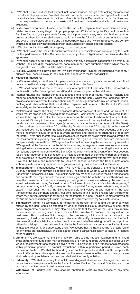- (i) I / We shall be free to utilise the Payment Instruction Services through Net Banking for transfer of funds for such purpose, as I / we shall deem fit. Further I / we understand and agree that the Bank may in its sole and exclusive discretion confine this facility of Payment Instruction Services only to certain permitted customers or may extend it from time to time to be available to all customers in general.
- (ii) I / We however agree not to use or permit the use of the Payment Instruction Services or any related services for any illegal or improper purposes. Whilst utilising the Payment Instruction Services for making any payments for any goods purchased or any services obtained whether on-line or otherwise, I / we shall ensure that I / we have the full right and / or authority to access and avail of the services obtained and the goods purchased and I / we shall observe and comply with the applicable laws and regulations in each jurisdiction in applicable territories.
- (iii) I / We shall not involve the Bank as a party to such transaction.
- (iv) I / We shall provide the Bank with such information and / or assistance as is required by the Bank for the performance of the Services and / or any other obligations of the Bank under this agreement.
- (v) I / We shall not at any time provide to any person, with any details of the accounts held by me / us with the Bank including, the passwords, account number, card numbers and PIN which may be assigned to me / us by the Bank from time to time.
- 10. **Risks:** I / We hereby acknowledge that I / we are availing the Payment Instruction Service at my / our own risk. These risks would include but not be limited to the following risks:

#### a. **Misuse of Password:**

- I. I We acknowledge that if any third person obtains access to my / our password, such third person would be able to provide Payment Instructions to the Bank.
- ii. I / We shall ensure that the terms and conditions applicable to the use of the password as contained in the Net Banking Terms and Conditions are complied with at all times.
- b. Internet Frauds: The Internet per se is susceptible to a number of frauds, misuse, hacking and other actions that could affect Payment Instructions to the Bank. Whilst the Bank shall aim to provide security to prevent the same, there cannot be any guarantee from such Internet Frauds, hacking and other actions that could affect Payment Instructions to the Bank. I / We shall separately evolve / evaluate all risks arising out of the same.
- c. Mistakes and Errors: The filling in of applicable data for transfer of funds and / or issue of DD would require proper, accurate and complete details. For instance, I / we am / are aware that I / we would be required to fill in the account number of the person to whom the funds are to be transferred. Similarly in the case of request for DD, I / we would be required to fill in the correct details such as the name of the payee (who may or may not have an account with the Bank), mailing address, amount of the DD and the city / state where the DD is payable. In the event of any inaccuracy in this regard, the funds could be transferred to incorrect accounts or the DD maybe incorrectly issued or sent to a wrong address and there is no guarantee of recovery thereafter. I / We shall therefore take all care to ensure that there are no mistakes and errors and that the information given by me / us to the Bank in this regard is error free, accurate, proper and complete at all points of time. I / We agree that the Bank is providing the services at my sole risk. I / We agree that the Bank shall not be liable for any loss, damages or consequences whatsoever arising due to any erroneous or incomplete information or any delay in executing the instructions for reasons beyond the control of the Bank. On the other hand in the event of my / our account receiving an incorrect credit by reason of a mistake committed by some other person, the Bank shall be entitled to reverse the incorrect credit at any time whatsoever without my / our consent. I / We shall be liable and responsible to Bank and accede to accept the Bank's instructions without questions for any unfair or unjust gain obtained by me / us as a result of the same.
- d. **Transactions:** The transactions, which I / we may require, the transfer of the funds or issue of DD may not fructify or may not be completed by the parties to whom I / we request the Bank to transfer the funds or issue a DD. The Bank is not in any manner involved in the said transactions and contracts, and my / our sole recourse in this regard shall be with the party with whom I / we have the transactions. The Bank is merely providing me / us services whereby the said funds would be transferred on my / our instructions. The transaction(s) for transfer of funds as per my / our instruction may not fructify or may not be completed for any reason whatsoever, in such cases, I / we shall not hold the Bank responsible or involved in any manner in the said transaction(s) and contracts and my / our sole recourse in this regard shall be with the party to whom my / our instruction was favouring for the transfer of funds. The Bank is merely providing me / us the services whereby the said funds would be transferred at my / our instructions.
- e. **Technology Risks:** The technology for enabling the transfer of funds and the other services offered by the Bank could be affected by virus or other malicious, destructive or corrupting code, programme or macro. It may also be possible that the site of the Bank may require maintenance and during such time it may not be possible to process the request of the customers. This could result in delays in the processing of instructions or failure in the processing of instructions and other such failures and inability. I / We understand that the Bank disclaims all and any liability, whether direct or indirect, whether arising out of loss of profit or otherwise arising out of any failure or inability by the Bank to honour any customer instruction for whatsoever reason. I / We understand and I / we accept that the Bank shall not be responsible for any of the aforesaid risks. I / We also accept that the Bank shall disclaim all liability in respect of the said risks.
- 11. **Limits:** I / We are aware that the Bank may from time to time impose maximum and minimum limits on transfer of funds that may be transferred or on amount of the DD that can be issued by virtue of the payment transfer service given to me / us hereunder or on transactions restrictions within particular periods or amount restrictions within a particular period or even each transaction limits. I / We shall be bound by such limits imposed and shall strictly comply with them. I / We realise and accept and agree that the same is to reduce the risks on me / us. I / We shall be bound by such limits imposed and shall strictly comply with them.
- 12. Indemnity: I / We shall indemnify the Bank from and against all losses and damages that may be caused as a consequence of breach of any of the Net Banking Terms and Conditions and the terms and conditions mentioned herein above.
- 13. **Withdrawal of Facility:** The Bank shall be entitled to withdraw this service at any time whateoever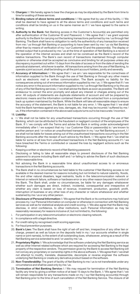- 14. **Charges:** I / We hereby agree to bear the charges as may be stipulated by the Bank from time to time for availing of these services.
- 15. **Binding nature of above terms and conditions:** I / We agree that by use of this facility, I / We shall be deemed to have agreed to all the above terms and conditions and such terms and conditions shall be binding on us in the same manner as if I / we have agreed to the same in writing.
- 16. **Authority to the Bank:** Net Banking access in the Customer's Account(s) are permitted only after authentication of the Customer ID and Password. I / We agree that I / we grant express authority to the Bank for carrying out the banking transactions performed by me / us through Net Banking. The Bank shall have no obligation to verify the authenticity of any transaction received from me / us through Net Banking or purporting to have been sent by me / us via Net Banking other than by means of verification of my / our Customer ID and the password(s). The display or printed output that is produced by me / us at the time of operation of Net Banking is a record of the operation of the internet access and shall not be construed as the Bank's record of the relative transactions. The Bank's own record of transactions maintained through computer systems or otherwise shall be accepted as conclusive and binding for all purposes unless any discrepancy is pointed out within 15 days from the date of access or from the date of sending the periodical statement, whichever is earlier. All transactions arising from the use of Net Banking, to operate a joint account, shall be binding on all the joint account holders, jointly and severally.
- 17. **Accuracy of Information:** I / We agree that I / we am / are responsible for the correctness of information supplied to the Bank through the use of Net Banking or through any other means such as electronic mail or written communication. The Bank accepts no liability for the consequences arising out of erroneous information supplied by me / us. I / We agree that if I / we notice any error in the account information supplied to me / us through Net Banking or by the use of any of the Net Banking services, I / we shall advise the Bank as soon as possible. The Bank will endeavour to correct the error promptly and adjust any interest or charges arising out of the error. All outputs of statements are duplicate statements of account and will be prepared by electronic means and the information contained therein will be extracted from a computerised back up system maintained by the Bank. While the Bank will take all reasonable steps to ensure the accuracy of the statement, the Bank is not liable for any error. I / We agree that I / we shall hold the Bank harmless against any loss, damages, etc. that may be incurred / suffered by me / us, if the information contained in the above said outputs turns out to be inaccurate / incorrect.
- 18. **Liability:**
- a. I / We shall not be liable for any unauthorised transactions occurring through the use of Net Banking, which can be attributed to the fraudulent or negligent conduct of the employees of the Bank. If I / we comply with the Terms and advise the Bank in writing under acknowledgment immediately after I / we suspect that my / our Customer ID(s) or password(s) is / are known to another person and / or notice an unauthorised transaction in my / our Net Banking account, I / we shall not be liable for losses arising out of the unauthorised transactions occurring in the Net Banking accounts after the receipt of such advice by the Bank. I / We agree that I / we shall be liable for some or all loss from unauthorised transactions in the Net Banking accounts if I / we have breached the Terms or contributed or caused the loss by negligent actions such as the following:
- i. Keeping a written or electronic record of Net Banking password.
- ii. Disclosing or failing to take all reasonable steps to prevent disclosure of the Net Banking password to anyone including Bank staff and / or failing to advise the Bank of such disclosure within reasonable time.
- iii. Not advising the Bank in a reasonable time about unauthorised access to or erroneous transactions in the Net Banking accounts.
- b. The Bank shall in no circumstances be held liable to the customer if Net Banking access is not available in the desired manner for reasons including but not limited to natural calamity, floods, fire and other natural disasters, legal restraints, faults in the telecommunication network or Internet or network failure, software or hardware error or any other reason beyond the control of the Bank. The Bank shall, under no circumstances, be liable for any damages whatsoever whether such damages are direct, indirect, incidental, consequential and irrespective of whether any claim is based on loss of revenue, investment, production, goodwill, profit, interruption of business or any other loss of any character or nature whatsoever and whether sustained by me / us or any other person.
- 19. **Disclosure of Personal Information:** I / We agree that the Bank or its contractors may hold and process my / our Personal Information on computer or otherwise in connection with Net Banking services as well as for statistical analysis and credit scoring. I / We also agree that the Bank may disclose, in strict confidence, to other institutions, such Personal Information as may be reasonably necessary for reasons inclusive of, but not limited to, the following:
- i. For participation in any telecommunication or electronic clearing network.
- ii. In compliance with a legal directive.
- iii. For credit rating by recognised credit scoring agencies.
- iv. For fraud prevention purposes.
- 20. **Bank's Lien:** The Bank shall have the right of set-off and lien, irrespective of any other lien or charge, present as well as future on the deposits held in my / our accounts whether in single name or joint name(s), to the extent of all outstanding dues, whatsoever, arising as a result of the Net Banking service extended to and / or used by me / us.
- 21. Proprietary Rights: I / We acknowledge that the software underlying the Net Banking service as well as other Internet related software which are required for accessing Net Banking is the legal property of the respective vendors. The permission given by the Bank to access Net Banking will not convey any proprietary or ownership rights in the above software. I/We agree that I/we shall not attempt to modify, translate, disassemble, decompile or reverse engineer the software underlying Net Banking or create any derivative product based on the software.
- 22. **Non-Transferability:** The grant of facility of Net Banking to me / us is not transferable under any circumstance and shall be used only by me / us.
- 23. **Termination of Net Banking Service:** I / We may request for termination of the Net Banking facility any time by giving a written notice of at least 15 days to the Bank. I / We agree that I / we will remain responsible for any transactions made on my / our Net Banking account(s) through Net Banking prior to the time of such cancellation of the Net Banking Service. The closure of all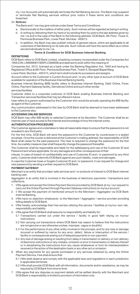my / our Accounts will automatically terminate the Net Banking service. The Bank may suspend or terminate Net Banking services without prior notice if these terms and conditions are breached.

## 24. **Notices:**

The Bank and I / we may give notices under these Terms and Conditions:

- a. Electronically to the mailbox of either party. Such notices will be regarded as being in writing.
- b. In writing by delivering them by hand or by sending them by post to the last address given by me / us and in the case of the Bank to the following address: DCB Bank, 6th Floor, Tower A, Peninsula Business Park, Lower Parel, Mumbai - 400013.
- c. In addition, the Bank may also publish notices of general nature, which are applicable to all customers of Net Banking on its web site. Such notices will have the same effect as a notice served individually to me/us.

## **Terms & Conditions for DCB Business Internet Banking**

## **DEFINITIONS**

DCB Bank refers to DCB Bank Limited, a banking company incorporated under the Companies Act 1956 (CIN: L99999MH1995PLC089008) and deemed to exist within the meaning of

Companies Act, 2013, licensed as a bank under the Banking Regulation Act, 1949 and having its Registered Office at 6th Floor, Peninsula Business Park, Tower A, Senapati Bapat Marg,

Lower Parel, Mumbai - 400 013, which term shall include its successors and assigns.

Account refers to the Customer's Current Account and / or any other type of account of DCB Bank available for operation of the Business Internet Banking facility.

Business Internet Banking (BIB) facility refers to Business Internet Banking, Debt Online, Forex Online, Payment Gateway facility, Derivatives Online and such other similar

## services/facilities.

Customer refers to a corporate customer of DCB Bank availing Business Internet Banking and Transaction services/facilities that may be offered in future.

User refers to a person authorised by the Customer who would be actually operating the BIB facility as agent of the Customer.

Any communication addressed to the User by DCB Bank shall be deemed to have been addressed to the Customer also.

## **ACCESSING ONLINE SERVICES**

DCB Bank may offer BIB facility to selected Customers at its discretion. The Customer shall be an internet user or have access to the internet and knowledge of how the internet works.

## **AUTHENTICATION PROCEDURE**

The Customer agrees and undertakes to take all reasonable steps to ensure that the password is not revealed to any third party.

For the first time, DCB Bank will send the password to the Customer by courier/post in a sealed envelope. Once the courier is delivered at the Customer's mailing address, the responsibility of DCB Bank shall cease for the said password. The User is required to change the password for the first time. As a safety measure User shall frequently change the password thereafter.

The Customer shall be responsible and liable for the safekeeping and use of the Customer ID and Password and where applicable, for any damages and other consequences of their

misuse. In case of breach of confidentiality and use of Customer ID and / or password by any third party, Customer shall indemnify DCB Bank against any such liability, costs and damages.

In case the Customer loses or forgets Customer ID and / or password, it can request for change and new password by sending a written request to DCB Bank.

#### **PAYMENT GATEWAY**

Merchant is an entity that provides/ sells services and / or products of interest to DCB Bank internet banking user.

Aggregator is an entity that is involved in the business of electronic payments / transactions and collections.

- 1. I/We agree and accept the Online Payment Service provided by DCB Bank at my / our request to carry out the Online Payment through Payment Gateway instructions on my/our account.
- 2. I/ We accept the payment of mentioned amount to the Merchant / Aggregator via DCB Bank Internet Banking.
- 3. I/We have no objection whatsoever, to the Merchant / Aggregator / service provider providing billing details to DCB Bank.
- 4. I/We hereby acknowledge that I/we am/are utilizing this service / facilities at my/our own risk, responsibility and liability.
- 5. I/We agree that DCB Bank shall assume no responsibility and liability for:
	- 5.1 Transactions carried out under the service / facility in good faith relying on my/our instructions.
		- 5.2 Not carrying out transactions where DCB Bank has reason to believe that the instructions are not genuine or are otherwise unclear, improper, vague or doubtful.
		- 5.3 For the performance of any other entity involved in the process; and for any loss or damage incurred or suffered by me/us for any error, defect, failure or interruption of the service / facility or consequences arising out of delayed payments or non-payment.
		- 5.4 Any loss of damage arising or resulting from delay in transmission or delivery or non-delivery of electronic instructions or any mistake, omission or error in transmission or delivery thereof or in deciphering the instructions from any cause whatsoever or from its misinterpretation received or the action of the destination bank or any other act or omission.
- 6. When any payments for any goods purchased or any services obtained by using the Online Payment Service, I/we shall ensure that:
	- 6.1 I/We shall observe and comply with the applicable laws and regulations in each jurisdiction in applicable territories.
	- 6.2 I/We shall provide DCB Bank with all information, documents and/or assistance, as may be required by DCB Bank from time to time.
- 7. I/We agree that any disputes on payment details will be settled directly with the Merchant and DCB Bank's responsibility is limited to provision of information only.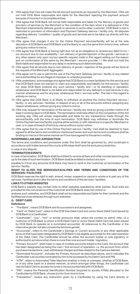- 8. I/We agree that I/we will make the bill amount payments as required by the Merchant. I/We will not hold DCB Bank responsible and liable for the Merchant rejecting the payment amount because of incorrect or incomplete entries.
- 9. I/We agree that DCB Bank will not be held responsible and liable for the delivery of goods and provision of services by the Merchant or the condition of the item when it is delivered or if the Merchant inadvertently delivers goods or services to some other customer. DCB Bank's role is restricted to provision of information and Payment Gateway service / facility only. All disputes regarding delivery / condition / quality of goods and services are to be taken up directly with the Merchant.
- 10. I/We agree that charges if any for the Online Payment services/facility will be at the sole discretion of DCB Bank and DCB Bank is at the liberty to vary the same from time to time, without giving any notice to me/us.
- 11. I/We agree that DCB Bank is having right (but not as an obligation) to reverse any debit to my / our account due to non-availability / non-delivery of goods/rejection of the goods / services or any other reason only upon my/our specific request made in this regard setting out the reason and on confirmation of the same by the Merchant / service provider. I / We shall not hold the Bank liable and responsible for any delay in reversing such debit entry(ies).
- 12. I/We agree that all refunds due to non-delivery of goods / rejection of the goods will be done at the request of the Merchant/ Aggregator.
- 13. I/We agree not to use or permit the use of the Payment Gateway service / facility or any related services/facilities for any illegal or improper or unlawful purposes.
- 14. I/We understand, acknowledge and agree that DCB Bank is a mere facilitator for this service and that DCB Bank does not warrant or claim any responsibility and liability for this service / facility nor does DCB Bank endorse any such service / facility and / or its standing or reputation whatsoever and DCB Bank is not liable and responsible for any deficient or bad services in any manner whatsoever and for any loss, whatsoever that I / we may suffer. The risk in this regard is entirely on me/us.
- 15. I/We agree that DCB Bank is at liberty to withdraw at anytime the Online Payment service / facility, or any services / facilities, in respect of any or all of the accounts without assigning any reason whatsoever, without giving any notice to me/us.
- 16. I/We may request for termination of the service / facility any time by giving a written notice of at least 3 working days to DCB Bank. The termination shall take effect on the completion of the 3rd working day. I/We will remain responsible and liable for any transactions made through the service/facility until the time of such termination. DCB Bank may withdraw or terminate the Online Payment service/facility anytime either entirely or with reference to a specific Merchant or user; or in case of breach of terms by me/us without a prior notice.
- 17. I/We agree that by use of this Online Payment service / facility, I/we shall be deemed to have agreed to all the terms and conditions mentioned herein and such terms and conditions shall be binding on me/us in the same manner as if I/we have agreed to the same in writing.

## **GOVERNING LAW AND JURISDICTION**

The terms and conditions and provisions under this form shall be governed by, and construed in accordance with Indian law and the courts at Mumbai shall have the exclusive jurisdiction

#### **TERMINATION EVENTS** in case of any dispute.

In case of termination, DCB Bank shall be entitled to receive all fees and other monies becoming due up to the date of such termination. DCB Bank shall be entitled to deduct any sum

payable to it from any amounts DCB Bank may have to remit to the Customer on termination of the service / facility.

#### **RIGHT TO ALTER THE SERVICES/FACILITIES AND TERMS AND CONDITIONS OF THE SERVICES / FACILITIES**

DCB Bank reserves the right to add, amend, revise, suspend or cancel in whole or in part any of the services / facilities and to alter the terms and conditions of the services / facilities.

#### **LINKS TO OTHER WEBSITES**

DCB Bank's website may contain links to other websites operated by other parties. Such links are provided for the convenience of the Customer and DCB Bank does not control or

endorse such websites, and DCB Bank shall not be responsible and liable for their contents and the facilities/services obtained through such websites.

## **G. DEBIT CARD**

## **Definitions**

- The Bank, means DCB Bank and its successors and assignees.
- "Card" or "Debit Card", refers to the DCB Visa Debit Card and Junior Saver Debit Card issued by DCB Bank to a Cardholder.
- "Cardholder", "you", "him" or similar pronouns shall, where the context so admit, refer, to a customer of DCB Bank to whom a DCB Debit Card or Junior Saver Debit Card has been issued by DCB Bank to operate on a nominated account(s). All references to the Cardholder in the masculine gender will also include the feminine gender.
- "Account(s)", refers to the Cardholder's Savings or Current accounts or any other applicable account that have been designated by DCB Bank to be eligible account(s) for the valid operation of the Debit Card. The Cardholder should be either the account holder or sole signatory or authorized to act alone when there is more than one account holder / signatory.
- "Primary Account", shall mean in case of multiple accounts linked to the Card, the account that has been designated as being the main / first account of operation, i.e. the account from which purchase transactions, cash withdrawal charges and fees related to the Card are debited.
- "Nominated Accounts", includes the Primary Account as described above, and it indicates the Cardholder's account(s) nominated by him to be accessed by his Debit Card and PIN
- "ATM", refers to Automated Teller Machine whether in India or overseas, whether of DCB Bank, or of any other bank on a shared network, at which amongst other things, the Cardholder can use his Debit Card to access his funds in his account(s) held with DCB Bank.
- "PIN", means the Personal Identification Number (required to access ATMs) allocated to the Cardholder by DCB Bank, chosen by him from time to time.
- "Transaction", means any instruction given by a Cardholder by using his Card directly or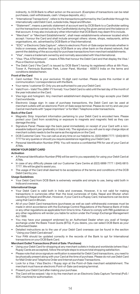indirectly, to DCB Bank to effect action on the account. (Examples of transactions can be retail purchases, cash withdrawals, cash / cheque deposits, etc.)

- .<br>"International Transactions", refers to the transactions performed by the Cardholder through his internationally valid Debit Card, outside India, Nepal and Bhutan.
- "Statement", means a periodic statement of account sent by DCB Bank to a Cardholder setting out the transactions carried out by the Cardholder(s) during the given period and the balance on that account. It may also include any other information that DCB Bank may deem fit to include.
- "Merchant" or "Merchant Establishments", shall mean establishments wherever located which accept / honour the Card and shall include amongst others: stores, shops, restaurants, airline organisations, etc. advertised by DCB Bank or Visa International.
- EDC or Electronic Data Capture, refers to electronic Point-of-Sale swipe terminals whether in India or overseas, whether tied up by DCB Bank or any other bank on the shared network, that permit the debiting of the account(s) for purchase transactions from merchant establishments.
- "Visa", means a trademark owned by and normally associated with Visa International.
- "Visa / Plus ATM Network", means ATMs that honour the Debit Card and that display the Visa / Plus or Electron symbols.
- The Debit Card ("the Card") is issued by DCB Bank") having its registered office at 6th Floor, Tower A, Peninsula Business Park, Lower Parel, Mumbai - 400013 India on the terms and conditions detailed herein.

## **Front of the Card**

- Card number: This is your exclusive 16-digit card number. Please quote this number in all communication / correspondence with the Bank.
- Your name / customer ID: Only you are authorised to use your Debit Card.
- Valid From Valid Thru (MM-YY format): Your Debit Card is valid until the last day of the month of the year indicated on the Card.
- Visa logo and hologram: Any merchant establishment displaying this logo accepts your Debit Card worldwide.
- Electronic Usage sign: In case of purchase transactions, the Debit Card can be used at merchant outlets with an electronic Point-of-Sale swipe terminal. Please do not try and use your Card at merchants with "paper imprinters" or for Mail / Telephone order transactions.

## **Back of the Card**

- Magnetic Strip: Important information pertaining to your Debit Card is encoded here. Please protect your Card from scratching or exposure to magnets and magnetic field as they can damage the strip.
- Signature Panel: Please sign the back panel immediately on receipt of your Card with a nonerasable ballpoint pen (preferably in black ink). The signature you will use to sign charge slips at merchant outlets needs to be the same as the signature on the Card.
- DCB Customer Care: You can call us at any time on our helpline no. (022) 6899 7777 / (040) 6815 7777 for any queries or should you require assistance regarding your Debit Card.
- Personal Identification Number (PIN): You will receive a confidential PIN for use of your Card at ATMs.

## **KNOW YOUR DEBIT CARD**

## **Activation**

- A Personal Identification Number (PIN) will be sent to you separately for using your Debit Card at ATMs.
- In case of any difficulty please call our Customer Care Centre at (022) 6899 7777 / (040) 6815 7777. We will be glad to assist you.
- The usage of the Card shall deemed to be acceptance of the terms and conditions of the DCB Debit Card by you.

## **Usage Guidelines**

 Your Debit Card from DCB Bank is extremely versatile and simple to use, being valid both in India and overseas.

## **International Usage**

- Your Debit Card is valid both in India and overseas. However, it is not valid for making transactions in currencies other than the local currencies of India, Nepal and Bhutan when travelling in Nepal and Bhutan. However, if your Card is a Rupay Card, transactions can be done using that Card in Bhutan.
- All of your Debit Card transactions (purchases as well as cash withdrawals) overseas must be made in strict accordance with the Exchange Control Regulations of the Reserve Bank of India or any other regulations as applicable from time to time. Failure to comply with RBI guidelines or any other regulations will render you liable for action under the Foreign Exchange Management Act 1999.
- You may have your passport endorsed by an Authorised Dealer when you avail of foreign exchange under the Basis Travel Quota (BTQ). If you desire, you can select DCB Bank as your Authorised Dealer.
- Detailed instructions as to the use of your Debit Card overseas can be found in the section "Using your Debit Card abroad".
- Your PAN should be updated correctly in the records of the Bank to opt for International transactions on your DCB Bank Card.

## **Merchant Outlet Transactions (Point of Sale / Purchase)**

- Using your Debit Card for shopping at any merchant outlets in India and worldwide (where Visa / Rupay Cards are accepted), follow the simple steps to ensure total shopping satisfaction.
- Please note that since signature verification is essential for Debit Card transactions, you need to be physically present along with your Card at the time of purchase. Please do not use Debit Card for Mail Order and Telephone Order and Internet purchase Transactions.
- Look for a Visa / Visa Electro / Rupay sign at the Point-of-Sale merchant establishment. The merchant must have an electronic Point-of-Sale card swiping terminal.
- Present your Debit Card after making your purchase.
- The Card will be swiped / dip-in by the merchant on an Electronic Data Capture Terminal (PoS / EDC machine) for authorisation.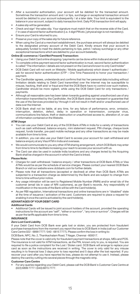- After a successful authorisation, your account will be debited for the transacted amount. Sometimes the transaction amount and / or tips, surcharge or exceptional transaction amount would be debited to your account subsequently / at a later date. Your limit is equivalent to the balance in your account, subject to daily transaction limit. Daily POS transaction limit will apply.
- A sales slip will be generated.
- Check and sign\* the sales slip. Your signature must match that on the reverse side of the Card. (\* in case of second factor authentication [i.e. 4 digit PIN etc.] physical sign is not mandatory).
- Ensure your Card is returned to you.
- Preserve your copy of the sales slip for future reference.
- When using the Card at a merchant establishment, the purchase amount will always be debited to the designated primary account of the Debit Card. Kindly ensure that your account is adequately funded to meet the debits pertaining to tips, petrol / railway surcharge or any other exceptional transactions which are debited to your account belatedly.

## **Online (E-commerce / Card Not Present) Transaction:**

- Using your Debit Card online shopping / payments can be done within India and abroad\*
- To complete online payment second factor authentication is must, second factor authentication is called "The information / details are not present on the Card and known to only Card holder"
- DCB Debit Card will not work on Website / Mobile application(s) which doesn't authenticate / ask for second factor authentication (OTP – One Time Password) to honor your transaction / payment.
- The Cardholder agrees, understands and confirms that his/ her personal data including without limitation details relating to Debit Card transmitted over the Internet may be susceptible to misuse, hacking, theft and/ or fraud and that the DCB Bank have no control over such matters. Cardholder should be more vigilant, while using the DCB Debit Card for only transactions / payments.
- Although all reasonable care has been taken towards guarding against unauthorized use of any information transmitted by the Cardholder, the DCB Bank does not represent or guarantee that the use of the Services provided by/ through it will not result in theft and/or unauthorized use of data over the Internet.
- DCB Bank shall not be liable, at any time, for any failure of performance, error, omission, interruption, deletion, defect, delay in operation or transmission, computer virus, communications line failure, theft or destruction or unauthorized access to, alteration of, or use of information contained on the Website.

## **ATM Usage**

- You can use your Debit Card at any of the DCB Bank ATMs in India for a variety of transactions such as cash withdrawal, balance enquiry, mini statement request, PIN change, cheque book request, funds transfer, pre-paid mobile recharge and any other transactions as may be made available from time to time.
- In addition, you can also use your Debit Card to access your account for cash withdrawal and balance enquiry at any Visa ATM in India and overseas.
- We would communicate to you any other ATM sharing arrangement, which DCB Bank may enter from time to time to facilitate increasing your reach to access your account with us.
- The Card can also be used in outside India locations and any charges levied by the Acquiring Bank shall be charged in the account in which the Card is linked.

## **Please Note:**

- Charges for cash withdrawal / balance enquiry / other transactions at DCB Bank ATMs or Visa ATMs would be as per the schedule of service charges. Please contact your nearest DCB Bank Branch or visit our website www.dcbbank.com for further details.
- Please note that all transactions (accepted or declined) at other than DCB Bank ATMs are subjected to a transaction charge as determined by the Bank and are subject to change from time to time without prior notice.
- Any usage intimation will be sent to Registered Mobile Number (RMN) and/or email ids of the customer (email ids in case of NRI customers), as per Bank's records. Any responsibility of modification in the records of the Bank will be with the Card holder(s).
- As per RBI regulation, International transactions and online transactions are in "disabled" state at the time of issuance / activation of the card. Customers are required to place a request for enabling it once the card is activated by the card holder(s).

## **ADVANTAGES OF YOUR DEBIT CARD**

## **Additional Cards**

 Additional Cards will be issued to joint account holders of the account, provided the operating instructions for the account are self, either or survivor, any one or survivor. Charges will be as per the tariffs applicable from time to time.

## **INSURANCE**

## **Zero Lost Card Liability**

If your Debit Card from DCB Bank ever gets lost or stolen, you are protected from fraudulent purchase transactions from the moment you report the loss to DCB Bank in India (call our Customer Care Centre 022 - 6899 7777 / 040 - 6815 7777). Please confirm the loss in writing to:

DCB Bank, NPC, No. 2, Thanikachalam Road, T Nagar, Chennai - 600017.

Please note that the cover is valid only for fraudulent payment transactions at shops, MEs and POS. The insurance is not valid for ATM transactions, as the PIN, known only to you, is required. You are required to file a police complaint for the Lost / Stolen card. DCB Bank will arrange to replace your card as soon as the instructions are received in writing. The cover is only valid for any misuse resulting in to financial loss 3 days prior to loss reported and 5 days after the lost reported. If you recover your card after you have reported its loss, please do not attempt to use it. Instead, please destroy the card by cutting into several pieces through the magnetic strip.

#### **Customer Care Centre**

 For any queries regarding your Debit Card, please call the DCB Bank's Customer Care Centre at (022) 6899 7777 / (040) 6815 7777.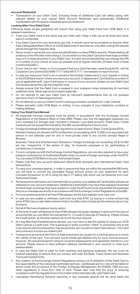## **Account Statement**

 Transactions on your Debit Card, including those of additional Card will reflect along with relevant details on your regular Bank Account Statement sent periodically. Additional Cardholders will not receive a separate account statement.

## **Looking After Your Debit Card**

Following these simple guidelines will ensure that using your Debit Card from DCB Bank is a pleasant experience.

- Treat your Debit Card in the same way you treat cash. Keep it with you at all times and never leave it unattended.
- Your Debit Card is for your exclusive use only. It should never be surrendered to anyone other than a designated Bank Officer at a DCB Bank branch and that too only after cutting into several pieces through the magnetic strip.
- Never reveal or surrender your personal identification number (PIN) to anyone. Please destroy all evidence of the PIN after memorising it. Do not write it on the Debit Card and never keep a written copy of it in close proximity to your Debit Card. It is also recommended that you change the PIN to a number of your choice as soon as possible and at regular intervals. (At least once in three months thereafter.)
- If your Card is lost / stolen, or if you suspect that your Card has been used fraudulently, call the Customer Care Centre (022) 6899 7777 / (040) 6815 7777, immediately to report the loss.
- In case you need your Card to be re-issued or terminated, please send in your request in writing to the DCB Bank branch where you have your account. A replacement Card shall be provided to you at applicable tariff. Upon Card expiry or closure of your account, please cut your Debit Card into several pieces through the magnetic strip.
- Always ensure that the Debit Card is swiped in your presence when transacting at merchant establishments. Never sign an incomplete sales slip.
- Do not attempt to use your Debit Card at merchant establishments that do not possess electronic Point-of-Sale swipe terminal.
- Do not attempt to use your Debit Card for making purchases via telephone / mail / internet.
- Please promptly notify DCB Bank, in writing, of any changes in your telephone numbers or mailing address.

#### **Using Your Debit Card Abroad**

- All expenses incurred overseas must be strictly in accordance with the Exchange Control Regulations of the Reserve Bank of India (RBI). Please note that the aggregate expenses you incur overseas (i.e. through cash / traveller's cheques / your bank account / Debit Card / Credit Card) should not exceed the limit set by the RBI, as prevailing from time to time.
- Resident Indians are allowed a BTQ entitlement not exceeding US \$ 10,000 or its equivalent per person in one calendar year for one or more private visits to any country (except Nepal or Bhutan). Foreign Exchange Entitlement (as per regulations on date of print). Basic Travel Quota (BTQ):

Business Travel and Entertainment Allowance: Foreign Exchange not exceeding US \$ 25,000 per trip, irrespective of the period of stay, for business purposes or for participating in conferences or seminars.

- To be in compliance with the Exchange Control Regulations, you are also required to have your<br>passport endorsed by an Authorised Dealer when you avail of foreign exchange under the BTQ.<br>You can select DCB Bank to be your A
- Please note that your account statement reflects both domestic and international Debit Card transactions.
- To track your overseas spends, in order to ensure that they are within the permissible RBI limits, you will have to convert the equivalent Rupee amount shown on your statement for each overseas transaction to US \$ using the day's TT selling rate which can be obtained from your Authorised Dealer.
- All transactions (domestic and international) incurred by your additional Cardholders will also be reflected on your account statement. Additional Cardholders may have their passport endorsed for the foreign exchange they have availed of under the BTQ and must ensure that the expenses they incur overseas are strictly in accordance with the Exchange Control Regulations of the RBI.
- For a comprehensive list of all Visa ATMs please visit the Visa website www.visa.com
- In case you are unable to withdraw cash from any Visa ATM, try keying in a lower amount (as some ATMs have a cash disbursement limit) or try after a few minutes (as the network server may be down).
- Not all ATMs have a balance inquiry option.
- At the time of cash withdrawal at Visa ATMs abroad the screen displays 3 options for the type of accounts that you can effect the transaction in: 1) Credit 2) Savings 3) Checking. Please choose the Credit option, as the other options do not hit the Visa network.
- At a few Merchant Establishments abroad, you may have to ask the cashier to swipe your DCB Debit Card as a Credit card. This is because in some countries "Debit" is connected only to the local network and the transaction may be declined, as it would not reach Visa network. Your card will continue to function as a Debit Card.
- Transactions at some of the Point-of-Sale (merchant) are usually for a nominal amount to check the validity of the card. Your account would initially get debited only for such nominal amount. However, the actual transaction amount would be subsequently and separately debited to your account. Please ensure to have sufficient balance maintained in your account to meet such belated debits.
- In case the Debit Card is used for both business and personal expenses, the two must be tracked separately to ensure that you comply with both the Basic Travel Quota and Business Travel permissible limits.
- Any violation of the Exchange Control Regulations arising out of utilisation of this Debit Card is the responsibility of the individual Cardholder (primary / additional) and he / she will be liable for action under the provisions of the Foreign Exchange Management Act (FEMA) 1999 and any other regulations in force from time to time. Please also note that the onus of ensuring compliance with the regulations is on the holder of the internationally valid Debit Card.
- Liberalised Remittance Scheme reporting of any overseas spends will be done basis the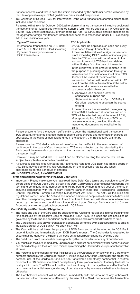transactions value and that in case the limit is exceeded by the customer he/she will abode by the rules applicable as per FEMA guidelines / Bank's laid down process.

 Tax Collected at Source (TCS) for International Debit Card transactions charging clause to be included in line as below:

Please note that from 1st October, 2020, all foreign remittance transactions including debit card transactions under Liberalised Remittance Scheme (LRS) will be subject to Tax Collection at Source (TCS) under Section 206C of the Income Tax Act, 1961.TCS at 5% shall be applicable on the aggregate foreign remittances/ international debit card transaction under LRS exceeding INR 7 Lakh in a financial year.

| <b>Type of Transaction</b>                                                                                                              | <b>TCS Applicable</b>                                                                                                                                                                                                                                                                                                                                                                                                                                                                                                                                                                                                                                                                                                                                                                                                                                                                                                                                                                                                                                                                                                                                                        |
|-----------------------------------------------------------------------------------------------------------------------------------------|------------------------------------------------------------------------------------------------------------------------------------------------------------------------------------------------------------------------------------------------------------------------------------------------------------------------------------------------------------------------------------------------------------------------------------------------------------------------------------------------------------------------------------------------------------------------------------------------------------------------------------------------------------------------------------------------------------------------------------------------------------------------------------------------------------------------------------------------------------------------------------------------------------------------------------------------------------------------------------------------------------------------------------------------------------------------------------------------------------------------------------------------------------------------------|
| International transactions on DCB Debit<br>Card & DCB Niyo Global Card (including<br>Dynamic Currency Conversion -<br>DCC transactions) | 5% tax shall be applicable on each and every<br>card based foreign transaction.<br>If the cumulative value of foreign transactions<br>is not exceeding INR 7 Lakh in a financial year,<br>then the TCS amount will be refunded in the<br>account from which TCS has been debited<br>within 12 days from the date of transaction.<br>In the event where the amount remitted is for<br>the purpose of pursuing education through a<br>loan obtained from a financial institution. TCS<br>@ 5% will be levied at the time of the<br>transaction. Refund will be effected within 12<br>days from the date of transaction, if the below<br>mentioned documents are e-mailed to<br>customercare@dcbbank.com<br>a. Approved loan sanction letter for<br>educational purpose and<br>b. Statement for fund transfer to DCB Bank<br>Card/loan account to ascertain the source<br>of fund<br>If the remittance has exceeded the regulatory<br>limit of INR 7 Lakh from all sources, refund of<br>TCS will be effected only at the rate of 4.5%,<br>after appropriating 0.5% towards TCS on<br>overseas education, provided the above<br>mentioned documents are emailed to the<br>Bank. |

Please ensure to fund the account sufficiently to cover the international card transactions, TCS amount, remittance charges, correspondent bank charges and other taxes/ charges as applicable. In the event of insufficient funds in the account, the transaction/s will not be processed.

Please note that TCS deducted cannot be refunded by the Bank in the event of return of remittance. In the case of Card transactions, TCS once collected can be refunded by the Bank only if the reversal or cancellation of the transaction has happened on the date of transaction itself.

However, it may be noted that TCS credit can be claimed by filing the Income Tax Return subject to applicable income tax provisions.

• All overseas spends is converted at VISA Exchange Rate and DCB Bank has limited scope in this. Bank may decide to levy relevant mark up on the applicable rate as and when applicable as per the Schedule of charges.

## **AN UNDERSTANDING, AN AGREEMENT**

#### **Terms and conditions governing the DCB Debit Card**

**•** Important - Please make sure you have read these Debit Card terms and conditions carefully before using the DCB Debit Card. By using the Debit Card you are unconditionally accepting the terms and conditions listed hereunder and will be bound by them and you accept the onus of ensuring compliance with the relevant Reserve Bank of India (RBI) Regulations, Exchange Control Regulation, Foreign Exchange Management Act 1999 ('The Act'), all the rules and regulations framed under the Act and as amended / modified / applicable from time to time and any other corresponding enactment in force from time to time. You will also continue to remain bound by the terms and conditions of operation of your Savings Bank Account / Current Accounts or any other applicable account with DCB Bank.

#### **Card Validity and Cardholder Obligations**

- The issue and use of the Card shall be subject to the rules and regulations in force from time to time as issued by the Reserve Bank of India and FEMA 1999. The issue and use shall also be governed by the terms and conditions contained herein and as amended from time to time.
- The Card shall be valid only for transaction options, as permitted by the Bank from time to time in India and abroad, at DCB Bank ATMs and Visa ATMs.
- The Card will be at all times the property of DCB Bank and shall be returned to DCB Bank unconditionally and immediately upon DCB Bank's request. The Cardholder is requested to ensure that the identity of the Bank's Officer is established before handing over the Card.
- The Debit Card is not transferable or assignable by the Cardholder under any circumstances.
- You must sign the Card immediately upon receipt. You must not permit any other person to use it and should safeguard the Card from misuse by retaining the Card under your personal control at all times.
- The Personal Identification Number (PIN) issued to the Cardholder for use with the Card or any numbers chosen by the Cardholder as a PIN, will be known only to the Cardholder and are for the personal use of the Cardholder and are non-transferable and strictly confidential. A written record of the PIN number should not be kept in any form, place or manner that may facilitate its use by a third party. The PIN should not be disclosed to any third party, either to staff of the Bank or to merchant establishments, under any circumstances or by any means whether voluntary or otherwise.
- The Cardholder's account will be debited immediately with the amount of any withdrawal, transfer and other transactions effected by the use of the Card. Sometimes the transaction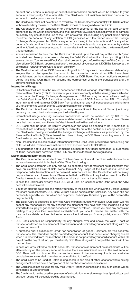amount and / or tips, surcharge or exceptional transaction amount would be debited to your account subsequently / at a later date. The Cardholder will maintain sufficient funds in the account to meet any such transactions.

- The Cardholder shall not be entitled to overdraw the Cardholders' account(s) with DCB Bank or withdraw funds by the use of the Debit Card in excess of any agreed overdraft limit.
- The Cardholder will be responsible for transactions effected by the use of the card whether authorised by the Cardholder or not, and shall indemnify DCB Bank against any loss or damage caused by any unauthorised use of the Card or related PIN, including any penal action arising therefrom on account of any violation of RBI guidelines or rules framed under the Foreign Exchange Management Act 1999 or any other law being in force in India and / or any other country / state continent / territory law being in force in India and / or any other country / state continent / territory wherever located in the world at the time, notwithstanding the termination of this agreement
- You are requested to note that the Debit Card is valid up to the last day of the month / year indicated. You hereby undertake to destroy the Debit Card when it expires by cutting it into several pieces. Your renewed Debit Card shall be sent to you before the expiry of the Card at the discretion of DCB Bank, upon evaluation of the conduct of your account. DCB Bank reserves the sole right of renewing your Card account on expiry.
- The Cardholder will inform DCB Bank in writing within 15 days from the statement date of any irregularities or discrepancies that exist in the transaction details at an ATM / merchant establishment on the statement of account sent by DCB Bank. If no such notice is received during this time, DCB Bank will assume the correctness of both the transactions and the statement of account.

## **International Usage**

- Utilisation of the Card must be in strict accordance with the Exchange Control Regulations of the Reserve Bank of India (RBI). In the event of your failure to comply with the same, you are liable for action under the Foreign Exchange Management Act 1999 and may be debarred from holding the Debit Card from DCB Bank either at the instance of DCB Bank or the RBI. You shall indemnify and hold harmless DCB Bank from and against any / all consequences arising from you not complying with Exchange Control Regulations of the RBI.
- The Debit Card is not valid for foreign currency transactions in Nepal and Bhutan (i.e. in any currency that is not the local currency or the Indian Rupee).
- International usage covering overseas transactions would be marked up by 3% of the transaction amount or by any other rate as determined by the Bank from time to time. Please note that the mark-up is not levied by Visa International to the cardholders.
- DCB Bank shall be under no liability whatsoever and shall be deemed to be indemnified in respect of loss or damage arising directly or indirectly out of the decline of a charge caused by the Cardholder having exceeded the foreign exchange entitlements as prescribed by the Reserve Bank of India (RBI) as issued from time to time, on DCB Bank becoming aware of the Cardholder exceeding his entitlements.
- Non-Resident Indians can hold an internationally valid Debit Card, provided all dues arising out of its use in India / overseas are met out of a NRE account held with DCB Bank.
- You undertake not to use the Card for making payment for any illegal purchases i.e. purchases of items / services not permitted by the RBI / any other extant statutory regulations.

#### **Merchant Establishment Usage**

- The Card is accepted at all electronic Point-of-Sale terminals at merchant establishments in India and overseas which display the Visa / Visa Electron logo.
- The Card is for electronic use only and will be accepted only at merchant establishments that have an electronic Point-of-Sale swipe terminal. Any usage of the Card at mail order or telephone order transaction will be deemed unauthorised and the Cardholder will be solely responsible for such transactions. Please note that the PIN is not required for use of the Debit Card at the electronic Point-of-Sale swipe terminals at merchant establishments.
- In case the Cardholder already has a DCB ATM Card, on issuance of the Debit Card, the ATM card will be deactivated.
- You must sign the sales slip and retain your copy of the sales slip whenever the Card is used at merchant establishments. DCB Bank will not furnish copies of the Sales slip. Any sales slip not personally signed by you but which can be proven, as being authorised by you will be deemed to be your liability.
- The Debit Card is accepted at any Visa Card merchant outlets worldwide. DCB Bank will not accept any responsibility for any dealings the merchant may have with you, including but not limited to the supply of goods and services so availed or offered. Should you have any complaint relating to any Visa Card merchant establishment, you should resolve the matter with the merchant establishment and failure to do so will not relieve you from any obligations to DCB Bank.
- DCB Bank accepts no responsibility for any charges over and above the value / cost of transactions levied by any merchant establishment and debited to your account along with the transaction amount.
- A purchase and a subsequent credit for cancellation of goods / services are two separate transactions. The refund will only be credited to your account (less cancellation charges) as and when it is received from the merchant. If the credit is not posted to your card account within 30 days from the day of refund, you must notify DCB Bank along with a copy of the credit slip from the merchant.
- In case of Cards linked to multiple accounts, transactions at merchant establishments will be effected only on the primary account. In case there are insufficient funds in the said account DCB Bank will not honour the transactions even if the necessary funds are available cumulatively or severally in the other accounts linked to the Card.
- The Card is not to be used at Hotels during check-in and also at other locations where paying arrangement is done before completion of the purchase transaction or service.
- The Card should not be used for any Mail Order / Phone Purchases and any such usage will be considered as unauthorised.
- The Card should not be used for payment of subscription to foreign magazines / periodicals and any such usage will be considered as unauthorised.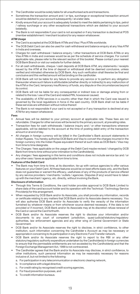- The Cardholder would be solely liable for all unauthorised acts and transactions.
- Sometimes the transaction amount and / or tips, surcharge or exceptional transaction amount would be debited to your account subsequently / at a later date.
- Kindly ensure that your account is adequately funded to meet the debits pertaining to tips, petrol / railway surcharge or any other exceptional transactions which are debited to your account belatedly.
- The Bank is not responsible if your card is not accepted or if any transaction is declined at POS (member establishment / merchant location) for any reason whatsoever.

## **ATM Usage**

- The Card is accepted at the DCB Bank ATMs and Visa / Plus ATMs worldwide.
- The DCB Debit Card can also be used for cash withdrawal and balance enquiry at any Visa ATM in India and overseas.
- Charges for cash withdrawal / balance enquiry / other transactions at DCB Bank ATMs or any Visa ATMs in India and overseas would be as per the schedule of service charges. For current applicable rate, please refer to the relevant section of this booklet. Please contact your nearest DCB Bank Branch or visit our website for further details.
- For all cash withdrawals, cheque / cash deposits at DCB Bank ATM, any statements / receipts issued by the ATM at the time of deposit or withdrawal shall be deemed conclusive, unless verified and intimated otherwise by DCB Bank. Any such verification shall likewise be final and conclusive and this verified amount will be binding on the cardholder.
- DCB Bank will not be liable for any failure to provide any service or to perform any obligation thereunder where such failure is attributable (whether directly or indirectly) to any malfunction of the ATM or the Card, temporary insufficiency of funds, any dispute or the circumstances beyond its control.
- DCB Bank will not be liable for any consequential or indirect loss or damage arising from or related to the loss / use of the Card and related PIN, howsoever caused.
- The availability of ATM services in a country other than that in which the Card was issued is governed by the local regulations in force in the said country. DCB Bank shall not be liable if these services are withdrawn without notice thereof.
- The Bank is not responsible if your card is not accepted or if any transaction is declined at any ATM for any reason whatsoever.

## **Fees**

- Annual fees will be debited to your primary account at applicable rate. These fees are not refundable. Charges for other services will be levied to the primary account, at prevailing rates.
- Transaction fees for cash withdrawals / balance inquiry and / or other transactions wherever applicable, will be debited to the account at the time of posting debit entry of the transaction amount or at end of day.
- All charges in foreign currency will be billed in the Cardholder's Bank account statements in Indian Rupees. You hereby authorise DCB Bank and Visa to convert the charges incurred in the foreign currency into the Indian Rupee equivalent thereof at such rates as DCB Bank / Visa may from time to time designate.
- The Charges / fees applicable on the usage of the Debit Card maybe revised / changed by DCB Bank from time to time without prior intimation to the Cardholder(s).
- Any charges / fees appearing in this terms and conditions does not include service tax and / or any other cess / taxes as applicable from time to time.

## **Features of the Debit Card**

**•** The Bank may from time to time, at its discretion, tie-up with various agencies to offer various features on your Debit Card. All these features would be on best efforts basis only, and the Bank does not guarantee or warrant the efficacy, usefulness of any of the products of service offered by any service providers / merchants / outlets / agencies. Disputes (if any) would have to taken up with the merchant / agency, etc. directly, without involving the Bank.

#### **Disclosure of information**

- Through this Terms & Conditions, the card holder provides approval to DCB Bank Limited to share data of the card/account holder and its operation with the Technical / Technology Service Provider(s) for this arrangement.
- When requested by DCB Bank and/or its Associate, you shall provide any information, records or certificate relating to any matters that DCB Bank and/or its Associate deems necessary. You will also authorise DCB Bank and/or its Associate to verify the veracity of the information furnished by whatever means or from whichever source deemed necessary. If the data is not provided or if incorrect, DCB Bank and/or its Associate may at its discretion refuse renewal of the Card or cancel the Card forthwith.
- DCB Bank and/or its Associate reserves the right to disclose your information and/or documents to any court of competent jurisdiction, quasi-judicial/statutory/regulatory authorities, law enforcement agencies and any other wing of Central Government or State Government.
- DCB Bank and/or its Associate reserves the right to disclose, in strict confidence, to other institution, such information concerning the Cardholders Account as may be necessary or appropriate in concerning to its participation in any Electronic Fund Transfer network.
- DCB Bank and/or its Associate reserves the right to report to the RBI or any other statutory/regulatory authority expenditure undertaken by the Cardholder(s) in foreign currencies to ensure that the permissible entitlements are not exceeded by the Cardholder(s) and that the Foreign Exchange Management Act, 1999 is not contravened.
- The Cardholder agrees that the Bank and/or its Associate may disclose, in strict confidence, to other institutions, such personal information as may be reasonably necessary for reasons inclusive of, but not limited to the following:
	- a. For participation in any telecommunication or electronic clearing network,
	- b. In compliance with a legal directive,
	- c. For credit rating by recognised credit scoring agencies,
	- d. For fraud prevention purposes, and
	- e. To credit information bureaus.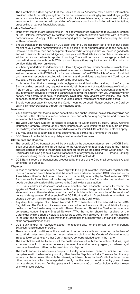The Cardholder further agrees that the Bank and/or its Associate may disclose information provided in the Account Opening Form for the purpose of cross selling by any marketing agent(s) and / or contractors with whom the Bank and/or its Associate enters, or has entered into any arrangement in connection with providing of services / products, including without limitation, cross selling of various financial products.

## **Lost or Stolen Card**

- In the event that the Card is lost or stolen, the occurrence must be reported to DCB Bank Branch or the Helpline immediately by fastest means of communication followed with a written communication. A copy of the acknowledged police complaint must accompany the said written confirmation.
- Should transaction be received by DCB Bank after the Card has been lost or stolen but before receipt of your written confirmation you shall be liable for all amounts debited to the accounts. However, if the loss / theft has been promptly reported in writing and that you acted in good faith and with reasonable care and diligence, then your lost Card liability for purchase transactions will be zero (once the loss is reported in writing). There will be no such coverage provided on cash withdrawals done through ATMs, as such transactions require the use of a PIN, which is confidential and known only to you.
- You hereby undertake to indemnify DCB Bank fully against any liability / (civil or criminal), loss, cost, expenses or damage that may arise due to loss or misuse of the Card in the event that it is lost and not reported to DCB Bank, or lost and misused before DCB Bank is informed. Provided you have in all respects complied with the terms and conditions, a replacement Card may be issued at the sole discretion of DCB Bank at the applicable fee.
- If it is determined that you were grossly negligent or fraudulent in the handling of the Card, the Bank would not entertain any request for refund / reimbursement of fraudulent usage of the Lost / Stolen card. If any amount is credited to your account based on your representation and / or any information provided by you, the Bank would recover the amount from you without any prior notice. You hereby undertake to indemnify DCB Bank fully against any liability, loss, cost, expenses, damage that may arise due to your negligent or fraudulent handling of the card.
- Should you subsequently recover the Card, it cannot be used. Please destroy the Card by cutting it into several pieces through the magnetic strip.

## **Insurance**

- You acknowledge that the insurance benefit provided on the Card will be available to you as per the terms of the relevant insurance policy in force and only so long as you are and remain an active Cardholder of DCB Bank.
- The Zero Lost Card Liability coverage is provided to Cardholders by HDFC ERGO General Insurance Company Limited (or any other insurance co. with which the Bank may tie-up from time to time) whose terms, conditions and decisions, for which DCB Bank is not liable, will apply.
- You may be asked to submit additional documents, as per the requirements of the case.
- DCB Bank will not be liable for any delayed settlement of the claims.

#### **Statements and Records**

- The records of Card transactions will be available on the account statement sent by DCB Bank. Such account statements shall be mailed to the Cardholder on a periodic basis to the mailing address corresponding to the primary account on record as indicated by the Cardholder. The Cardholder can also get details of his transactions at any time by calling DCB Phone Banking Service or utilising the mini statement facility at the DCB Bank ATMs.
- DCB Bank's record of transactions processed by the use of the Card shall be conclusive and binding for all purposes.

## **Disputes**

- In case of purchase transactions, a sales slip with the signature of the Cardholder together with the Card number noted thereon shall be conclusive evidence between DCB Bank and/or its Associate and the Cardholder as to the extent of the liability incurred by the Cardholder and DCB Bank and/or its Associate shall not be required to ensure that the Cardholder has received the goods purchased / availed of the service to the Cardholder s satisfaction.
- DCB Bank and/or its Associate shall make bonafide and reasonable efforts to resolve an aggrieved Cardholders disagreement with an applicable charge indicated in the Account statement or as otherwise determined by the Cardholder within two months of the receipt of notice of disagreement. If after such effort DCB Bank and/or its Associate determine that the charge is correct, then it shall communicate the same to the Cardholder.
- Any dispute in respect of a Shared Network ATM Transaction will be resolved as per VISA Regulations. The Bank and its Associate does not accept responsibility and liability for any dealings the Cardholder may have with Shared Networks. Should the Cardholder have any complaints concerning any Shared Network ATM, the matter should be resolved by the Cardholder with the Shared Network, and failure to do so will not relieve him from any obligations to the Bank and its Associate. However, the Cardholder should notify the Bank and its Associate of the complaint immediately.
- DCB Bank and/or its Associate accept no responsibility for the refusal of any Merchant Establishment to honour the Card.
- These terms and conditions will be construed in accordance with and governed by the laws of India. All disputes are subject to the exclusive jurisdiction of the Courts of Mumbai in India irrespective of whether any other Court may have concurrent jurisdiction in the matter.
- The Cardholder will be liable for all the costs associated with the collection of dues, legal expenses (should it become necessary to refer the matter to any agent), or where legal resources have been utilized in the resolution of a dispute.
- The Bank and/or its Associate accepts no liability whatsoever, direct or indirect, for noncompliance with the laws of any country other than the Republic of India. The mere fact that any service can be accessed through the internet, mobile or phone by the Cardholder in a country other than India shall not be interpreted to imply that the laws of the said country govern these terms and conditions and / or the operations in the Account(s) of the Cardholder and/or the use of any of these services.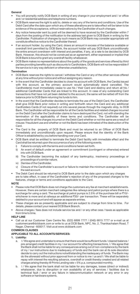## **General**

- You will promptly notify DCB Bank in writing of any change in your employment and / or office and / or residential address and telephone numbers.
- DCB Bank reserves the right to add to, delete or vary any of the terms and conditions. Use of the Debit Card after the date upon which any of these alterations are to take effect will be taken to be evidence of the acceptance, without reservations by the Cardholder of such changes.
- Any notice hereunder sent by post will be deemed to have received by the Cardholder within 7 days from the posting of the notification to the address last given to DCB Bank in writing by the Cardholder. Publication of changes by such means as DCB Bank may consider appropriate will constitute effective notice to the Cardholder thereof.
- If an account holder, by using the Card, draws an amount in excess of the balance available or overdraft limit permitted by DCB Bank, the account holder will pay DCB Bank unconditionally the entire amount overdrawn with interest and penalties, if any, at a rate to be decided by DCB Bank. However, this should not be construed as an agreement, either expressed or implied that DCB Bank is bound to grant any overdraft facility whatsoever.
- DCB Bank makes no representations about the quality of the goods and services offered by third parties providing benefits such as discounts to Cardholders. DCB Bank will not be responsible if the service is in any way deficient or otherwise unsatisfactory.

## **Termination**

- DCB Bank reserves the rights to cancel / withdraw the Card or any of the other services offered at any time without prior notice and without assigning any reason.
- In the event that the Cardholder decides to close his account with DCB Bank, the Card(s) issued with this account, as the primary account would automatically stand cancelled. The Cardholder(s) must immediately cease to use his / their Card and destroy and return all his / additional Cardholder Cards that are linked to this account. In case of any outstanding Card transactions that have not yet been debited to the account, the same will be netted off from the balance prior to DCB Bank returning his funds to him.
- In the event that the Cardholder decides to terminate the use of the Debit Card, the Cardholder shall give DCB Bank prior notice in writing and forthwith return the Card and any additional Cardholders Cards (if not required) cut into several pieces through the magnetic strip, to DCB Bank. The Cardholder will be responsible for all the Cards facilities and related charges incurred on the Debit Card after the Cardholder claims to have destroyed the Card, not with standing the termination of the applicability of these terms and conditions. The Cardbolder will be termination of the applicability of these terms and conditions. The Cardholder will responsible for all the charges incurred on the Debit Card whether or not the same are a result of misuse / fraudulent use and whether or not the Bank has been intimated of the destruction of the Card.
- The Card is the property of DCB Bank and must be returned to an Officer of DCB Bank immediately and unconditionally upon request. Please ensure that the identity of the Bank Officer is established by you before handling over your Card.
- DCB Bank shall be entitled to terminate the Debit Card facility with immediate effect and the Card shall be returned upon the occurrence of any of the following events.
	- i) Failure to comply with the terms and conditions herein set forth.
	- ii) An event of default under an agreement or commitment (contingent or otherwise) entered into with DCB Bank.
	- iii) The Cardholder becoming the subject of any bankruptcy, insolvency proceedings or proceedings of a similar nature.
	- iv) Demise of the Cardholder
	- v) Closure of the Cardholder's account or failure to maintain the minimum average balance in the said account.
- The Debit Card should be returned to DCB Bank prior to the date upon which any charges are to take effect, in case of the Cardholder's rejection of any of the proposed changes to the features, charge or terms and conditions applicable to the Card.

## **NOTE**

- Please note that DCB Bank does not charge the customers any fee at merchant establishments. However, there are certain merchant categories like railways and petrol pumps where there is a surcharge for using a card. The surcharge at petrol pumps is 2.5% of the purchase bill or  $\overline{510/-}$ whichever is more and at railways an additional  $\overline{30}/$ - per transaction. These will be separately debited to your account and will appear as separate entries.
- These charges are as presently applicable and are subject to change from time to time. For details, please contact your nearest DCB Bank Branch.
- Above charges / fees does not include service tax and / or any other cess / taxes as applicable from time to time.

## **HELP LINE**

**•** Call us at our Customer Care Centre No. (022) 6899 7777 / (040) 6815 7777 or e-mail us at customercare@dcbbank.com or write to us at DCB Bank, NPC, No. 2, Thanikachalam Road, T Nagar, Chennai - 600017. Visit us at www.dcbbank.com

## **COMMON CLAUSES**

## **APPLICABLE TO ALL ACCOUNTS/SERVICES:**

- **1. Liability:** 
	- a. I / We agree and undertake to ensure that there would be sufficient funds / cleared balance / pre-arranged credit facilities in my / our account for effecting transactions. I / We agree that the Bank shall not be liable for any consequences arising out of non-compliance by the bank of my / our instructions due to inadequacy of funds and the bank can at its sole discretion decide to carry out the instructions notwithstanding the inadequacy of funds. The Bank may do the aforesaid without prior approval from or notice to me / us and I / We shall be liable to repay with interest the resulting advance, overdraft or credit thereby created and all related charges arising thereby @ Prime Lending rate + 5% p.a. compounded monthly.
	- b. I / We agree that the bank shall not be liable for any damages, losses (direct or indirect) whatsoever, due to disruption or non availability of any of services / facilities due to technical fault / error or any failure in telecommunication network or any error in any software or hardware systems.